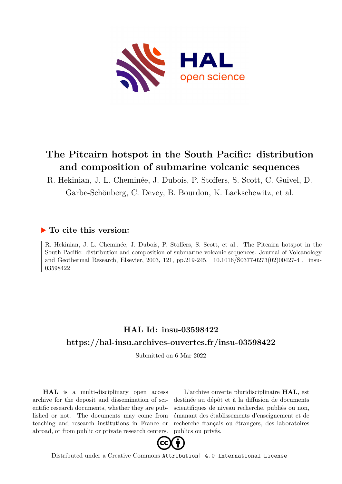

# **The Pitcairn hotspot in the South Pacific: distribution and composition of submarine volcanic sequences**

R. Hekinian, J. L. Cheminée, J. Dubois, P. Stoffers, S. Scott, C. Guivel, D. Garbe-Schönberg, C. Devey, B. Bourdon, K. Lackschewitz, et al.

## **To cite this version:**

R. Hekinian, J. L. Cheminée, J. Dubois, P. Stoffers, S. Scott, et al.. The Pitcairn hotspot in the South Pacific: distribution and composition of submarine volcanic sequences. Journal of Volcanology and Geothermal Research, Elsevier, 2003, 121, pp.219-245.  $10.1016/S0377-0273(02)00427-4$ . insu-03598422

## **HAL Id: insu-03598422 <https://hal-insu.archives-ouvertes.fr/insu-03598422>**

Submitted on 6 Mar 2022

**HAL** is a multi-disciplinary open access archive for the deposit and dissemination of scientific research documents, whether they are published or not. The documents may come from teaching and research institutions in France or abroad, or from public or private research centers.

L'archive ouverte pluridisciplinaire **HAL**, est destinée au dépôt et à la diffusion de documents scientifiques de niveau recherche, publiés ou non, émanant des établissements d'enseignement et de recherche français ou étrangers, des laboratoires publics ou privés.



Distributed under a Creative Commons [Attribution| 4.0 International License](http://creativecommons.org/licenses/by/4.0/)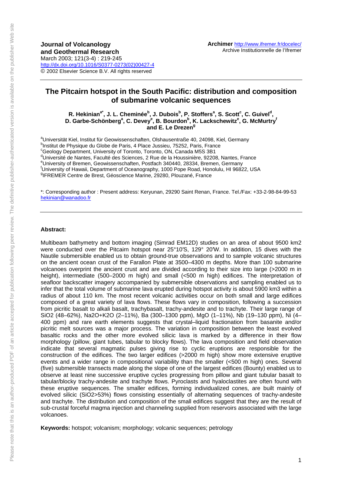## **The Pitcairn hotspot in the South Pacific: distribution and composition of submarine volcanic sequences**

R. Hekinian<sup>a\*</sup>, J. L. Cheminée<sup>b</sup>, J. Dubois<sup>b</sup>, P. Stoffers<sup>a</sup>, S. Scott<sup>c</sup>, C. Guivel<sup>d</sup>, D. Garbe-Schönberg<sup>a</sup>, C. Devey<sup>e</sup>, B. Bourdon<sup>b</sup>, K. Lackschewitz<sup>e</sup>, G. McMurtry<sup>f</sup> and E. Le Drezen<sup>g</sup>

<sup>a</sup>Universität Kiel, Institut für Geowissenschaften, Olshausentraße 40, 24098, Kiel, Germany<br>Plastitut de Physique du Clabe de Perie, 4 Place, Iupeieu, 75252, Perie, Escace, <sup>b</sup>Institut de Physique du Globe de Paris, 4 Place Jussieu, 75252, Paris, France <sup>c</sup>Geology Department, University of Toronto, Toronto, ON, Canada M5S 3B1 d'Université de Nantes, Faculté des Sciences, 2 Rue de la Houssinière, 92208, Nantes, France eUniversity of Bremen, Geowissenschaften, Postfach 340440, 28334, Bremen, Germany<br><sup>f</sup> Iniversity of Haugii, Department of Oceanography, 1999 Bang Band, Happlyly, HL0683 University of Hawaii, Department of Oceanography, 1000 Pope Road, Honolulu, HI 96822, USA <sup>9</sup>IFREMER Centre de Brest, Géoscience Marine, 29280, Plouzané, France

\*: Corresponding author : Present address: Keryunan, 29290 Saint Renan, France. Tel./Fax: +33-2-98-84-99-53 hekinian@wanadoo.fr

### **Abstract:**

Multibeam bathymetry and bottom imaging (Simrad EM12D) studies on an area of about 9500 km2 were conducted over the Pitcairn hotspot near 25°10′S, 129° 20′W. In addition, 15 dives with the Nautile submersible enabled us to obtain ground-true observations and to sample volcanic structures on the ancient ocean crust of the Farallon Plate at 3500–4300 m depths. More than 100 submarine volcanoes overprint the ancient crust and are divided according to their size into large (>2000 m in height), intermediate (500–2000 m high) and small (<500 m high) edifices. The interpretation of seafloor backscatter imagery accompanied by submersible observations and sampling enabled us to infer that the total volume of submarine lava erupted during hotspot activity is about 5900 km3 within a radius of about 110 km. The most recent volcanic activities occur on both small and large edifices composed of a great variety of lava flows. These flows vary in composition, following a succession from picritic basalt to alkali basalt, trachybasalt, trachy-andesite and to trachyte. Their large range of SiO2 (48–62%), Na2O+K2O (2–11%), Ba (300–1300 ppm), MgO (1–11%), Nb (19–130 ppm), Ni (4– 400 ppm) and rare earth elements suggests that crystal–liquid fractionation from basanite and/or picritic melt sources was a major process. The variation in composition between the least evolved basaltic rocks and the other more evolved silicic lava is marked by a difference in their flow morphology (pillow, giant tubes, tabular to blocky flows). The lava composition and field observation indicate that several magmatic pulses giving rise to cyclic eruptions are responsible for the construction of the edifices. The two larger edifices (>2000 m high) show more extensive eruptive events and a wider range in compositional variability than the smaller (<500 m high) ones. Several (five) submersible transects made along the slope of one of the largest edifices (Bounty) enabled us to observe at least nine successive eruptive cycles progressing from pillow and giant tubular basalt to tabular/blocky trachy-andesite and trachyte flows. Pyroclasts and hyaloclastites are often found with these eruptive sequences. The smaller edifices, forming individualized cones, are built mainly of evolved silicic (SiO2>53%) flows consisting essentially of alternating sequences of trachy-andesite and trachyte. The distribution and composition of the small edifices suggest that they are the result of sub-crustal forceful magma injection and channeling supplied from reservoirs associated with the large volcanoes.

**Keywords:** hotspot; volcanism; morphology; volcanic sequences; petrology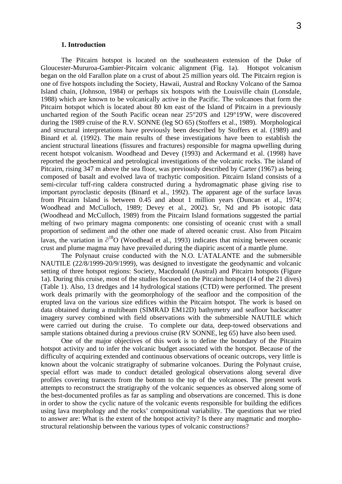#### **1. Introduction**

The Pitcairn hotspot is located on the southeastern extension of the Duke of Gloucester-Mururoa-Gambier-Pitcairn volcanic alignment (Fig. 1a). Hotspot volcanism began on the old Farallon plate on a crust of about 25 million years old. The Pitcairn region is one of five hotspots including the Society, Hawaii, Austral and Rockny Volcano of the Samoa Island chain, (Johnson, 1984) or perhaps six hotspots with the Louisville chain (Lonsdale, 1988) which are known to be volcanically active in the Pacific. The volcanoes that form the Pitcairn hotspot which is located about 80 km east of the Island of Pitcairn in a previously uncharted region of the South Pacific ocean near 25°20'S and 129°19'W, were discovered during the 1989 cruise of the R.V. SONNE (leg SO 65) (Stoffers et al., 1989). Morphological and structural interpretations have previously been described by Stoffers et al. (1989) and Binard et al. (1992). The main results of these investigations have been to establish the ancient structural lineations (fissures and fractures) responsible for magma upwelling during recent hotspot volcanism. Woodhead and Devey (1993) and Ackermand et al. (1998) have reported the geochemical and petrological investigations of the volcanic rocks. The island of Pitcairn, rising 347 m above the sea floor, was previously described by Carter (1967) as being composed of basalt and evolved lava of trachytic composition. Pitcairn Island consists of a semi-circular tuff-ring caldera constructed during a hydromagmatic phase giving rise to important pyroclastic deposits (Binard et al., 1992). The apparent age of the surface lavas from Pitcairn Island is between 0.45 and about 1 million years (Duncan et al., 1974; Woodhead and McCulloch, 1989; Devey et al., 2002). Sr, Nd and Pb isotopic data (Woodhead and McCulloch, 1989) from the Pitcairn Island formations suggested the partial melting of two primary magma components: one consisting of oceanic crust with a small proportion of sediment and the other one made of altered oceanic crust. Also from Pitcairn lavas, the variation in  $\partial^{18}O$  (Woodhead et al., 1993) indicates that mixing between oceanic crust and plume magma may have prevailed during the diapiric ascent of a mantle plume.

The Polynaut cruise conducted with the N.O. L'ATALANTE and the submersible NAUTILE (22/8/1999-20/9/1999), was designed to investigate the geodynamic and volcanic setting of three hotspot regions: Society, Macdonald (Austral) and Pitcairn hotspots (Figure 1a). During this cruise, most of the studies focused on the Pitcairn hotspot (14 of the 21 dives) (Table 1). Also, 13 dredges and 14 hydrological stations (CTD) were performed. The present work deals primarily with the geomorphology of the seafloor and the composition of the erupted lava on the various size edifices within the Pitcairn hotspot. The work is based on data obtained during a multibeam (SIMRAD EM12D) bathymetry and seafloor backscatter imagery survey combined with field observations with the submersible NAUTILE which were carried out during the cruise. To complete our data, deep-towed observations and sample stations obtained during a previous cruise (RV SONNE, leg 65) have also been used.

One of the major objectives of this work is to define the boundary of the Pitcairn hotspot activity and to infer the volcanic budget associated with the hotspot. Because of the difficulty of acquiring extended and continuous observations of oceanic outcrops, very little is known about the volcanic stratigraphy of submarine volcanoes. During the Polynaut cruise, special effort was made to conduct detailed geological observations along several dive profiles covering transects from the bottom to the top of the volcanoes. The present work attempts to reconstruct the stratigraphy of the volcanic sequences as observed along some of the best-documented profiles as far as sampling and observations are concerned. This is done in order to show the cyclic nature of the volcanic events responsible for building the edifices using lava morphology and the rocks' compositional variability. The questions that we tried to answer are: What is the extent of the hotspot activity? Is there any magmatic and morphostructural relationship between the various types of volcanic constructions?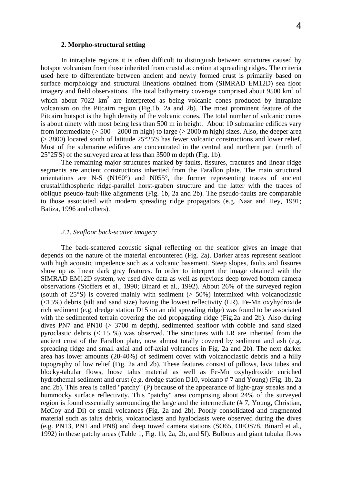## **2. Morpho-structural setting**

In intraplate regions it is often difficult to distinguish between structures caused by hotspot volcanism from those inherited from crustal accretion at spreading ridges. The criteria used here to differentiate between ancient and newly formed crust is primarily based on surface morphology and structural lineations obtained from (SIMRAD EM12D) sea floor imagery and field observations. The total bathymetry coverage comprised about  $9500 \text{ km}^2$  of which about  $7022 \text{ km}^2$  are interpreted as being volcanic cones produced by intraplate volcanism on the Pitcairn region (Fig.1b, 2a and 2b). The most prominent feature of the Pitcairn hotspot is the high density of the volcanic cones. The total number of volcanic cones is about ninety with most being less than 500 m in height. About 10 submarine edifices vary from intermediate ( $> 500 - 2000$  m high) to large ( $> 2000$  m high) sizes. Also, the deeper area (> 3800) located south of latitude 25°25'S has fewer volcanic constructions and lower relief. Most of the submarine edifices are concentrated in the central and northern part (north of 25°25'S) of the surveyed area at less than 3500 m depth (Fig. 1b).

The remaining major structures marked by faults, fissures, fractures and linear ridge segments are ancient constructions inherited from the Farallon plate. The main structural orientations are N-S (N160°) and N055°, the former representing traces of ancient crustal/lithospheric ridge-parallel horst-graben structure and the latter with the traces of oblique pseudo-fault-like alignments (Fig. 1b, 2a and 2b). The pseudo-faults are comparable to those associated with modern spreading ridge propagators (e.g. Naar and Hey, 1991; Batiza, 1996 and others).

## *2.1. Seafloor back-scatter imagery*

The back-scattered acoustic signal reflecting on the seafloor gives an image that depends on the nature of the material encountered (Fig. 2a). Darker areas represent seafloor with high acoustic impedence such as a volcanic basement. Steep slopes, faults and fissures show up as linear dark gray features. In order to interpret the image obtained with the SIMRAD EM12D system, we used dive data as well as previous deep towed bottom camera observations (Stoffers et al., 1990; Binard et al., 1992). About 26% of the surveyed region (south of 25°S) is covered mainly with sediment (> 50%) intermixed with volcanoclastic  $(\leq 15\%)$  debris (silt and sand size) having the lowest reflectivity (LR). Fe-Mn oxyhydroxide rich sediment (e.g. dredge station D15 on an old spreading ridge) was found to be associated with the sedimented terrain covering the old propagating ridge (Fig.2a and 2b). Also during dives PN7 and PN10 (> 3700 m depth), sedimented seafloor with cobble and sand sized pyroclastic debris  $($  15 %) was observed. The structures with LR are inherited from the ancient crust of the Farallon plate, now almost totally covered by sediment and ash (e.g. spreading ridge and small axial and off-axial volcanoes in Fig. 2a and 2b). The next darker area has lower amounts (20-40%) of sediment cover with volcanoclastic debris and a hilly topography of low relief (Fig. 2a and 2b). These features consist of pillows, lava tubes and blocky-tabular flows, loose talus material as well as Fe-Mn oxyhydroxide enriched hydrothemal sediment and crust (e.g. dredge station D10, volcano # 7 and Young) (Fig. 1b, 2a and 2b). This area is called "patchy" (P) because of the appearance of light-gray streaks and a hummocky surface reflectivity. This "patchy" area comprising about 24% of the surveyed region is found essentially surrounding the large and the intermediate (# 7, Young, Christian, McCoy and Di) or small volcanoes (Fig. 2a and 2b). Poorly consolidated and fragmented material such as talus debris, volcanoclasts and hyaloclasts were observed during the dives (e.g. PN13, PN1 and PN8) and deep towed camera stations (SO65, OFOS78, Binard et al., 1992) in these patchy areas (Table 1, Fig. 1b, 2a, 2b, and 5f). Bulbous and giant tubular flows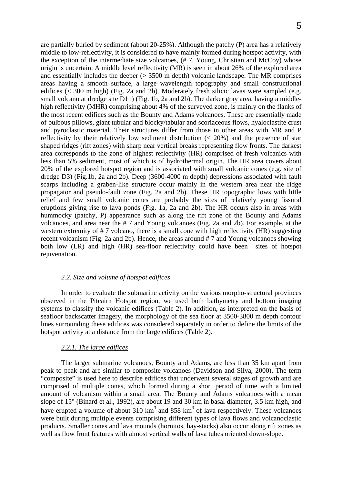are partially buried by sediment (about 20-25%). Although the patchy (P) area has a relatively middle to low-reflectivity, it is considered to have mainly formed during hotspot activity, with the exception of the intermediate size volcanoes, (# 7, Young, Christian and McCoy) whose origin is uncertain. A middle level reflectivity (MR) is seen in about 26% of the explored area and essentially includes the deeper (> 3500 m depth) volcanic landscape. The MR comprises areas having a smooth surface, a large wavelength topography and small constructional edifices (< 300 m high) (Fig. 2a and 2b). Moderately fresh silicic lavas were sampled (e.g. small volcano at dredge site D11) (Fig. 1b, 2a and 2b). The darker gray area, having a middlehigh reflectivity (MHR) comprising about 4% of the surveyed zone, is mainly on the flanks of the most recent edifices such as the Bounty and Adams volcanoes. These are essentially made of bulbous pillows, giant tubular and blocky/tabular and scoriaceous flows, hyaloclastite crust and pyroclastic material. Their structures differ from those in other areas with MR and P reflectivity by their relatively low sediment distribution (< 20%) and the presence of star shaped ridges (rift zones) with sharp near vertical breaks representing flow fronts. The darkest area corresponds to the zone of highest reflectivity (HR) comprised of fresh volcanics with less than 5% sediment, most of which is of hydrothermal origin. The HR area covers about 20% of the explored hotspot region and is associated with small volcanic cones (e.g. site of dredge D3) (Fig.1b, 2a and 2b). Deep (3600-4000 m depth) depressions associated with fault scarps including a graben-like structure occur mainly in the western area near the ridge propagator and pseudo-fault zone (Fig. 2a and 2b). These HR topographic lows with little relief and few small volcanic cones are probably the sites of relatively young fissural eruptions giving rise to lava ponds (Fig. 1a, 2a and 2b). The HR occurs also in areas with hummocky (patchy, P) appearance such as along the rift zone of the Bounty and Adams volcanoes, and area near the # 7 and Young volcanoes (Fig. 2a and 2b). For example, at the western extremity of #7 volcano, there is a small cone with high reflectivity (HR) suggesting recent volcanism (Fig. 2a and 2b). Hence, the areas around # 7 and Young volcanoes showing both low (LR) and high (HR) sea-floor reflectivity could have been sites of hotspot rejuvenation.

## *2.2. Size and volume of hotspot edifices*

In order to evaluate the submarine activity on the various morpho-structural provinces observed in the Pitcairn Hotspot region, we used both bathymetry and bottom imaging systems to classify the volcanic edifices (Table 2). In addition, as interpreted on the basis of seafloor backscatter imagery, the morphology of the sea floor at 3500-3800 m depth contour lines surrounding these edifices was considered separately in order to define the limits of the hotspot activity at a distance from the large edifices (Table 2).

## *2.2.1. The large edifices*

The larger submarine volcanoes, Bounty and Adams, are less than 35 km apart from peak to peak and are similar to composite volcanoes (Davidson and Silva, 2000). The term "composite" is used here to describe edifices that underwent several stages of growth and are comprised of multiple cones, which formed during a short period of time with a limited amount of volcanism within a small area. The Bounty and Adams volcanoes with a mean slope of 15° (Binard et al., 1992), are about 19 and 30 km in basal diameter, 3.5 km high, and have erupted a volume of about 310 km<sup>3</sup> and 858 km<sup>3</sup> of lava respectively. These volcanoes were built during multiple events comprising different types of lava flows and volcanoclastic products. Smaller cones and lava mounds (hornitos, hay-stacks) also occur along rift zones as well as flow front features with almost vertical walls of lava tubes oriented down-slope.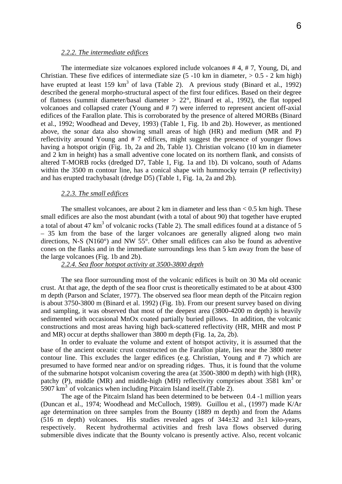## *2.2.2. The intermediate edifices*

The intermediate size volcanoes explored include volcanoes # 4, # 7, Young, Di, and Christian. These five edifices of intermediate size  $(5 -10 \text{ km} \text{ in diameter}, > 0.5 - 2 \text{ km high})$ have erupted at least 159 km<sup>3</sup> of lava (Table 2). A previous study (Binard et al., 1992) described the general morpho-structural aspect of the first four edifices. Based on their degree of flatness (summit diameter/basal diameter > 22°, Binard et al., 1992), the flat topped volcanoes and collapsed crater (Young and # 7) were inferred to represent ancient off-axial edifices of the Farallon plate. This is corroborated by the presence of altered MORBs (Binard et al., 1992; Woodhead and Devey, 1993) (Table 1, Fig. 1b and 2b). However, as mentioned above, the sonar data also showing small areas of high (HR) and medium (MR and P) reflectivity around Young and # 7 edifices, might suggest the presence of younger flows having a hotspot origin (Fig. 1b, 2a and 2b, Table 1). Christian volcano (10 km in diameter and 2 km in height) has a small adventive cone located on its northern flank, and consists of altered T-MORB rocks (dredged D7, Table 1, Fig. 1a and 1b). Di volcano, south of Adams within the 3500 m contour line, has a conical shape with hummocky terrain (P reflectivity) and has erupted trachybasalt (dredge D5) (Table 1, Fig. 1a, 2a and 2b).

## *2.2.3. The small edifices*

The smallest volcanoes, are about 2 km in diameter and less than  $< 0.5$  km high. These small edifices are also the most abundant (with a total of about 90) that together have erupted a total of about 47  $km^3$  of volcanic rocks (Table 2). The small edifices found at a distance of 5 – 35 km from the base of the larger volcanoes are generally aligned along two main directions, N-S (N160°) and NW 55°. Other small edifices can also be found as adventive cones on the flanks and in the immediate surroundings less than 5 km away from the base of the large volcanoes (Fig. 1b and 2b).

## *2.2.4. Sea floor hotspot activity at 3500-3800 depth*

The sea floor surrounding most of the volcanic edifices is built on 30 Ma old oceanic crust. At that age, the depth of the sea floor crust is theoretically estimated to be at about 4300 m depth (Parson and Sclater, 1977). The observed sea floor mean depth of the Pitcairn region is about 3750-3800 m (Binard et al. 1992) (Fig. 1b). From our present survey based on diving and sampling, it was observed that most of the deepest area (3800-4200 m depth) is heavily sedimented with occasional MnOx coated partially buried pillows. In addition, the volcanic constructions and most areas having high back-scattered reflectivity (HR, MHR and most P and MR) occur at depths shallower than 3800 m depth (Fig. 1a, 2a, 2b).

In order to evaluate the volume and extent of hotspot activity, it is assumed that the base of the ancient oceanic crust constructed on the Farallon plate, lies near the 3800 meter contour line. This excludes the larger edifices (e.g. Christian, Young and # 7) which are presumed to have formed near and/or on spreading ridges. Thus, it is found that the volume of the submarine hotspot volcanism covering the area (at 3500-3800 m depth) with high (HR), patchy (P), middle (MR) and middle-high (MH) reflectivity comprises about  $3581 \text{ km}^3$  or 5907  $km<sup>3</sup>$  of volcanics when including Pitcairn Island itself. (Table 2).

The age of the Pitcairn Island has been determined to be between 0.4 -1 million years (Duncan et al., 1974; Woodhead and McCulloch, 1989). Guillou et al., (1997) made K/Ar age determination on three samples from the Bounty (1889 m depth) and from the Adams (516 m depth) volcanoes. His studies revealed ages of  $344\pm32$  and  $3\pm1$  kilo-years, respectively. Recent hydrothermal activities and fresh lava flows observed during submersible dives indicate that the Bounty volcano is presently active. Also, recent volcanic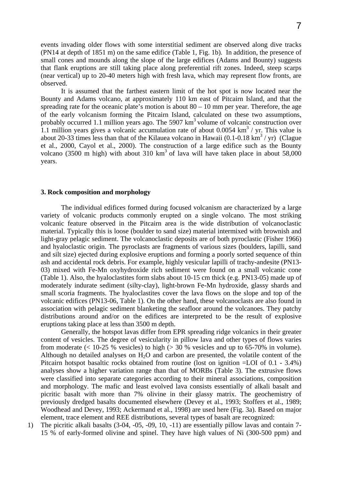events invading older flows with some interstitial sediment are observed along dive tracks (PN14 at depth of 1851 m) on the same edifice (Table 1, Fig. 1b). In addition, the presence of small cones and mounds along the slope of the large edifices (Adams and Bounty) suggests that flank eruptions are still taking place along preferential rift zones. Indeed, steep scarps (near vertical) up to 20-40 meters high with fresh lava, which may represent flow fronts, are observed.

It is assumed that the farthest eastern limit of the hot spot is now located near the Bounty and Adams volcano, at approximately 110 km east of Pitcairn Island, and that the spreading rate for the oceanic plate's motion is about  $80 - 10$  mm per year. Therefore, the age of the early volcanism forming the Pitcairn Island, calculated on these two assumptions, probably occurred 1.1 million years ago. The 5907  $km<sup>3</sup>$  volume of volcanic construction over 1.1 million years gives a volcanic accumulation rate of about  $0.0054 \text{ km}^3$  / yr. This value is about 20-33 times less than that of the Kilauea volcano in Hawaii  $(0.1-0.18 \text{ km}^3/\text{yr})$  (Clague et al., 2000, Cayol et al., 2000). The construction of a large edifice such as the Bounty volcano (3500 m high) with about 310  $km<sup>3</sup>$  of lava will have taken place in about 58,000 years.

## **3. Rock composition and morphology**

The individual edifices formed during focused volcanism are characterized by a large variety of volcanic products commonly erupted on a single volcano. The most striking volcanic feature observed in the Pitcairn area is the wide distribution of volcanoclastic material. Typically this is loose (boulder to sand size) material intermixed with brownish and light-gray pelagic sediment. The volcanoclastic deposits are of both pyroclastic (Fisher 1966) and hyaloclastic origin. The pyroclasts are fragments of various sizes (boulders, lapilli, sand and silt size) ejected during explosive eruptions and forming a poorly sorted sequence of thin ash and accidental rock debris. For example, highly vesicular lapilli of trachy-andesite (PN13- 03) mixed with Fe-Mn oxyhydroxide rich sediment were found on a small volcanic cone (Table 1). Also, the hyaloclastites form slabs about 10-15 cm thick (e.g. PN13-05) made up of moderately indurate sediment (silty-clay), light-brown Fe-Mn hydroxide, glassy shards and small scoria fragments. The hyaloclastites cover the lava flows on the slope and top of the volcanic edifices (PN13-06, Table 1). On the other hand, these volcanoclasts are also found in association with pelagic sediment blanketing the seafloor around the volcanoes. They patchy distributions around and/or on the edifices are interpreted to be the result of explosive eruptions taking place at less than 3500 m depth.

Generally, the hotspot lavas differ from EPR spreading ridge volcanics in their greater content of vesicles. The degree of vesicularity in pillow lava and other types of flows varies from moderate  $\ll 10-25$  % vesicles) to high  $\ll 30$  % vesicles and up to 65-70% in volume). Although no detailed analyses on  $H_2O$  and carbon are presented, the volatile content of the Pitcairn hotspot basaltic rocks obtained from routine (lost on ignition =LOI of 0.1 - 3.4%) analyses show a higher variation range than that of MORBs (Table 3). The extrusive flows were classified into separate categories according to their mineral associations, composition and morphology. The mafic and least evolved lava consists essentially of alkali basalt and picritic basalt with more than 7% olivine in their glassy matrix. The geochemistry of previously dredged basalts documented elsewhere (Devey et al., 1993; Stoffers et al., 1989; Woodhead and Devey, 1993; Ackermand et al., 1998) are used here (Fig. 3a). Based on major element, trace element and REE distributions, several types of basalt are recognized:

1) The picritic alkali basalts (3-04, -05, -09, 10, -11) are essentially pillow lavas and contain 7- 15 % of early-formed olivine and spinel. They have high values of Ni (300-500 ppm) and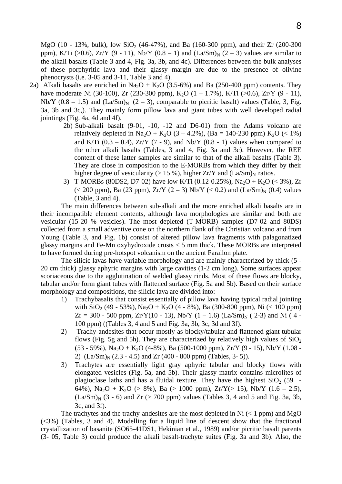MgO (10 - 13%, bulk), low  $SiO_2$  (46-47%), and Ba (160-300 ppm), and their Zr (200-300 ppm), K/Ti (>0.6), Zr/Y (9 - 11), Nb/Y (0.8 – 1) and  $(La/Sm)<sub>N</sub>$  (2 – 3) values are similar to the alkali basalts (Table 3 and 4, Fig. 3a, 3b, and 4c). Differences between the bulk analyses of these porphyritic lava and their glassy margin are due to the presence of olivine phenocrysts (i.e. 3-05 and 3-11, Table 3 and 4).

- 2a) Alkali basalts are enriched in Na<sub>2</sub>O + K<sub>2</sub>O (3.5-6%) and Ba (250-400 ppm) contents. They have moderate Ni (30-100), Zr (230-300 ppm), K<sub>2</sub>O (1 – 1.7%), K/Ti (>0.6), Zr/Y (9 - 11), Nb/Y (0.8 – 1.5) and  $(La/Sm)<sub>N</sub>$  (2 – 3), comparable to picritic basalt) values (Table, 3, Fig. 3a, 3b and 3c,). They mainly form pillow lava and giant tubes with well developed radial jointings (Fig. 4a, 4d and 4f).
	- 2b) Sub-alkali basalt (9-01, -10, -12 and D6-01) from the Adams volcano are relatively depleted in Na<sub>2</sub>O + K<sub>2</sub>O (3 – 4.2%), (Ba = 140-230 ppm) K<sub>2</sub>O (< 1%) and K/Ti  $(0.3 - 0.4)$ , Zr/Y  $(7 - 9)$ , and Nb/Y  $(0.8 - 1)$  values when compared to the other alkali basalts (Tables, 3 and 4, Fig. 3a and 3c). However, the REE content of these latter samples are similar to that of the alkali basalts (Table 3). They are close in composition to the E-MORBs from which they differ by their higher degree of vesicularity ( $> 15 %$ ), higher  $Zr/Y$  and  $(La/Sm)<sub>N</sub>$  ratios.
	- 3) T-MORBs (80DS2, D7-02) have low K/Ti (0.12-0.25%), Na<sub>2</sub>O + K<sub>2</sub>O (< 3%), Zr (< 200 ppm), Ba (23 ppm),  $Zr/Y$  (2 – 3) Nb/Y (< 0.2) and  $(La/Sm)<sub>N</sub>$  (0.4) values (Table, 3 and 4).

The main differences between sub-alkali and the more enriched alkali basalts are in their incompatible element contents, although lava morphologies are similar and both are vesicular (15-20 % vesicles). The most depleted (T-MORB) samples (D7-02 and 80DS) collected from a small adventive cone on the northern flank of the Christian volcano and from Young (Table 3, and Fig. 1b) consist of altered pillow lava fragments with palagonatized glassy margins and Fe-Mn oxyhydroxide crusts < 5 mm thick. These MORBs are interpreted to have formed during pre-hotspot volcanism on the ancient Farallon plate.

The silicic lavas have variable morphology and are mainly characterized by thick (5 - 20 cm thick) glassy aphyric margins with large cavities (1-2 cm long). Some surfaces appear scoriaceous due to the agglutination of welded glassy rinds. Most of these flows are blocky, tabular and/or form giant tubes with flattened surface (Fig. 5a and 5b). Based on their surface morphology and compositions, the silicic lava are divided into:

- 1) Trachybasalts that consist essentially of pillow lava having typical radial jointing with  $\text{SiO}_2$  (49 - 53%), Na<sub>2</sub>O + K<sub>2</sub>O (4 - 8%), Ba (300-800 ppm), Ni (< 100 ppm)  $Zr = 300 - 500$  ppm,  $Zr/Y(10 - 13)$ ,  $Nb/Y(1 - 1.6)$   $(La/Sm)<sub>N</sub>(2-3)$  and Ni (4 -100 ppm) ((Tables 3, 4 and 5 and Fig. 3a, 3b, 3c, 3d and 3f).
- 2) Trachy-andesites that occur mostly as blocky/tabular and flattened giant tubular flows (Fig. 5g and 5h). They are characterized by relatively high values of  $SiO<sub>2</sub>$  $(53 - 59\%)$ , Na<sub>2</sub>O + K<sub>2</sub>O (4-8%), Ba (500-1000 ppm), Zr/Y (9 - 15), Nb/Y (1.08 -2)  $(La/Sm)<sub>N</sub>$  (2.3 - 4.5) and Zr (400 - 800 ppm) (Tables, 3- 5)).
- 3) Trachytes are essentially light gray aphyric tabular and blocky flows with elongated vesicles (Fig. 5a, and 5b). Their glassy matrix contains microlites of plagioclase laths and has a fluidal texture. They have the highest  $SiO<sub>2</sub> (59 - 1)$ 64%), Na<sub>2</sub>O + K<sub>2</sub>O (> 8%), Ba (> 1000 ppm), Zr/Y(> 15), Nb/Y (1.6 – 2.5),  $(La/Sm)<sub>N</sub>$  (3 - 6) and Zr (> 700 ppm) values (Tables 3, 4 and 5 and Fig. 3a, 3b, 3c, and 3f).

The trachytes and the trachy-andesites are the most depleted in Ni  $(< 1$  ppm) and MgO  $(\leq 3\%)$  (Tables, 3 and 4). Modelling for a liquid line of descent show that the fractional crystallization of basanite (SO65-41DS1, Hekinian et al., 1989) and/or picritic basalt parents (3- 05, Table 3) could produce the alkali basalt-trachyte suites (Fig. 3a and 3b). Also, the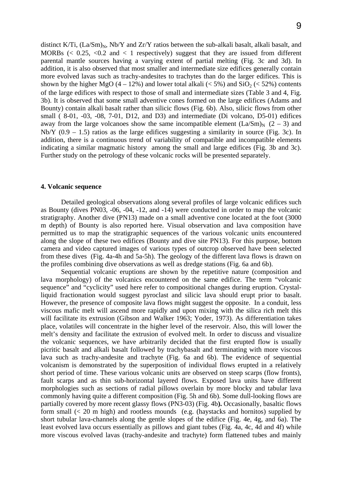distinct K/Ti,  $(La/Sm)<sub>N</sub>$ , Nb/Y and Zr/Y ratios between the sub-alkali basalt, alkali basalt, and MORBs  $\ll 0.25$ ,  $\lt 0.2$  and  $\lt 1$  respectively) suggest that they are issued from different parental mantle sources having a varying extent of partial melting (Fig. 3c and 3d). In addition, it is also observed that most smaller and intermediate size edifices generally contain more evolved lavas such as trachy-andesites to trachytes than do the larger edifices. This is shown by the higher MgO (4 – 12%) and lower total alkali ( $\lt$  5%) and SiO<sub>2</sub> ( $\lt$  52%) contents of the large edifices with respect to those of small and intermediate sizes (Table 3 and 4, Fig. 3b). It is observed that some small adventive cones formed on the large edifices (Adams and Bounty) contain alkali basalt rather than silicic flows (Fig. 6b). Also, silicic flows from other small ( 8-01, -03, -08, 7-01, D12, and D3) and intermediate (Di volcano, D5-01) edifices away from the large volcanoes show the same incompatible element  $(La/Sm)<sub>N</sub>$  (2 – 3) and Nb/Y  $(0.9 - 1.5)$  ratios as the large edifices suggesting a similarity in source (Fig. 3c). In addition, there is a continuous trend of variability of compatible and incompatible elements indicating a similar magmatic history among the small and large edifices (Fig. 3b and 3c). Further study on the petrology of these volcanic rocks will be presented separately.

## **4. Volcanic sequence**

Detailed geological observations along several profiles of large volcanic edifices such as Bounty (dives PN03, -06, -04, -12, and -14) were conducted in order to map the volcanic stratigraphy. Another dive (PN13) made on a small adventive cone located at the foot (3000 m depth) of Bounty is also reported here. Visual observation and lava composition have permitted us to map the stratigraphic sequences of the various volcanic units encountered along the slope of these two edifices (Bounty and dive site PN13). For this purpose, bottom camera and video captured images of various types of outcrop observed have been selected from these dives (Fig. 4a-4h and 5a-5h). The geology of the different lava flows is drawn on the profiles combining dive observations as well as dredge stations (Fig. 6a and 6b).

Sequential volcanic eruptions are shown by the repetitive nature (composition and lava morphology) of the volcanics encountered on the same edifice. The term "volcanic sequence" and "cyclicity" used here refer to compositional changes during eruption. Crystalliquid fractionation would suggest pyroclast and silicic lava should erupt prior to basalt. However, the presence of composite lava flows might suggest the opposite. In a conduit, less viscous mafic melt will ascend more rapidly and upon mixing with the silica rich melt this will facilitate its extrusion (Gibson and Walker 1963; Yoder, 1973)*.* As differentiation takes place, volatiles will concentrate in the higher level of the reservoir. Also, this will lower the melt's density and facilitate the extrusion of evolved melt. In order to discuss and visualize the volcanic sequences, we have arbitrarily decided that the first erupted flow is usually picritic basalt and alkali basalt followed by trachybasalt and terminating with more viscous lava such as trachy-andesite and trachyte (Fig. 6a and 6b). The evidence of sequential volcanism is demonstrated by the superposition of individual flows erupted in a relatively short period of time. These various volcanic units are observed on steep scarps (flow fronts), fault scarps and as thin sub-horizontal layered flows. Exposed lava units have different morphologies such as sections of radial pillows overlain by more blocky and tabular lava commonly having quite a different composition (Fig. 5h and 6b). Some dull-looking flows are partially covered by more recent glassy flows (PN3-03) (Fig. 4b**).** Occasionally, basaltic flows form small (< 20 m high) and rootless mounds (e.g. (haystacks and hornitos) supplied by short tubular lava-channels along the gentle slopes of the edifice (Fig. 4e, 4g, and 6a). The least evolved lava occurs essentially as pillows and giant tubes (Fig. 4a, 4c, 4d and 4f) while more viscous evolved lavas (trachy-andesite and trachyte) form flattened tubes and mainly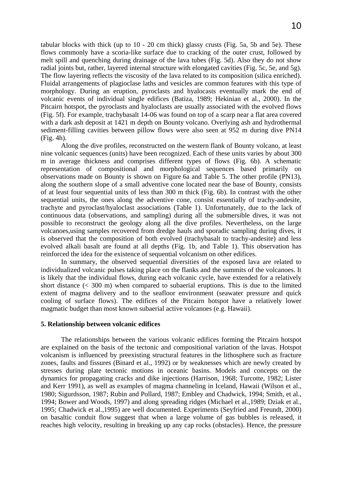tabular blocks with thick (up to 10 - 20 cm thick) glassy crusts (Fig. 5a, 5b and 5e). These flows commonly have a scoria-like surface due to cracking of the outer crust, followed by melt spill and quenching during drainage of the lava tubes (Fig. 5d). Also they do not show radial joints but, rather, layered internal structure with elongated cavities (Fig. 5c, 5e, and 5g). The flow layering reflects the viscosity of the lava related to its composition (silica enriched). Fluidal arrangements of plagioclase laths and vesicles are common features with this type of morphology. During an eruption, pyroclasts and hyalocasts eventually mark the end of volcanic events of individual single edifices (Batiza, 1989; Hekinian et al., 2000). In the Pitcairn hotspot, the pyroclasts and hyaloclasts are usually associated with the evolved flows (Fig. 5f). For example, trachybasalt 14-06 was found on top of a scarp near a flat area covered with a dark ash deposit at 1421 m depth on Bounty volcano. Overlying ash and hydrothermal sediment-filling cavities between pillow flows were also seen at 952 m during dive PN14 (Fig. 4h).

Along the dive profiles, reconstructed on the western flank of Bounty volcano, at least nine volcanic sequences (units) have been recognized. Each of these units varies by about 300 m in average thickness and comprises different types of flows (Fig. 6b). A schematic representation of compositional and morphological sequences based primarily on observations made on Bounty is shown on Figure 6a and Table 5. The other profile (PN13), along the southern slope of a small adventive cone located near the base of Bounty, consists of at least four sequential units of less than 300 m thick (Fig. 6b). In contrast with the other sequential units, the ones along the adventive cone, consist essentially of trachy-andesite, trachyte and pyroclast/hyaloclast associations (Table 1). Unfortunately, due to the lack of continuous data (observations, and sampling) during all the submersible dives, it was not possible to reconstruct the geology along all the dive profiles. Nevertheless, on the large volcanoes,using samples recovered from dredge hauls and sporadic sampling during dives, it is observed that the composition of both evolved (trachybasalt to trachy-andesite) and less evolved alkali basalt are found at all depths (Fig. 1b, and Table 1). This observation has reinforced the idea for the existence of sequential volcanism on other edifices.

In summary, the observed sequential diversities of the exposed lava are related to individualized volcanic pulses taking place on the flanks and the summits of the volcanoes. It is likely that the individual flows, during each volcanic cycle, have extended for a relatively short distance  $( $300 \, \text{m}$ )$  when compared to subaerial eruptions. This is due to the limited extent of magma delivery and to the seafloor environment (seawater pressure and quick cooling of surface flows). The edifices of the Pitcairn hotspot have a relatively lower magmatic budget than most known subaerial active volcanoes (e.g. Hawaii).

## **5. Relationship between volcanic edifices**

The relationships between the various volcanic edifices forming the Pitcairn hotspot are explained on the basis of the tectonic and compositional variation of the lavas. Hotspot volcanism is influenced by preexisting structural features in the lithosphere such as fracture zones, faults and fissures (Binard et al., 1992) or by weaknesses which are newly created by stresses during plate tectonic motions in oceanic basins. Models and concepts on the dynamics for propagating cracks and dike injections (Harrison, 1968; Turcotte, 1982; Lister and Kerr 1991), as well as examples of magma channeling in Iceland, Hawaii (Wilson et al., 1980; Sigurdsson, 1987; Rubin and Pollard, 1987; Embley and Chadwick, 1994; Smith, et al., 1994; Bower and Woods, 1997) and along spreading ridges (Michael et al.,1989; Dziak et al., 1995; Chadwick et al.,1995) are well documented. Experiments (Seyfried and Freundt, 2000) on basaltic conduit flow suggest that when a large volume of gas bubbles is released, it reaches high velocity, resulting in breaking up any cap rocks (obstacles). Hence, the pressure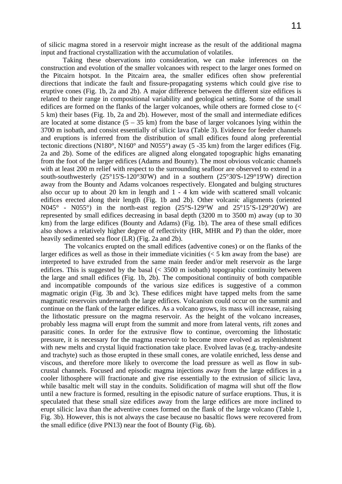of silicic magma stored in a reservoir might increase as the result of the additional magma input and fractional crystallization with the accumulation of volatiles.

 Taking these observations into consideration, we can make inferences on the construction and evolution of the smaller volcanoes with respect to the larger ones formed on the Pitcairn hotspot. In the Pitcairn area, the smaller edifices often show preferential directions that indicate the fault and fissure-propagating systems which could give rise to eruptive cones (Fig. 1b, 2a and 2b). A major difference between the different size edifices is related to their range in compositional variability and geological setting. Some of the small edifices are formed on the flanks of the larger volcanoes, while others are formed close to (< 5 km) their bases (Fig. 1b, 2a and 2b). However, most of the small and intermediate edifices are located at some distance  $(5 - 35 \text{ km})$  from the base of larger volcanoes lying within the 3700 m isobath, and consist essentially of silicic lava (Table 3). Evidence for feeder channels and eruptions is inferred from the distribution of small edifices found along preferential tectonic directions (N180°, N160° and N055°) away (5 -35 km) from the larger edifices (Fig. 2a and 2b). Some of the edifices are aligned along elongated topographic highs emanating from the foot of the larger edifices (Adams and Bounty). The most obvious volcanic channels with at least 200 m relief with respect to the surrounding seafloor are observed to extend in a south-southwesterly (25°15'S-120°30'W) and in a southern (25°30'S-129°19'W) direction away from the Bounty and Adams volcanoes respectively. Elongated and bulging structures also occur up to about 20 km in length and 1 - 4 km wide with scattered small volcanic edifices erected along their length (Fig. 1b and 2b). Other volcanic alignments (oriented N045° - N055°) in the north-east region (25°S-129°W and 25°15'S-129°20'W) are represented by small edifices decreasing in basal depth (3200 m to 3500 m) away (up to 30 km) from the large edifices (Bounty and Adams) (Fig. 1b). The area of these small edifices also shows a relatively higher degree of reflectivity (HR, MHR and P) than the older, more heavily sedimented sea floor (LR) (Fig. 2a and 2b).

 The volcanics erupted on the small edifices (adventive cones) or on the flanks of the larger edifices as well as those in their immediate vicinities  $(< 5 \text{ km}$  away from the base) are interpreted to have extruded from the same main feeder and/or melt reservoir as the large edifices. This is suggested by the basal  $\langle$  3500 m isobath) topographic continuity between the large and small edifices (Fig. 1b, 2b). The compositional continuity of both compatible and incompatible compounds of the various size edifices is suggestive of a common magmatic origin (Fig. 3b and 3c). These edifices might have tapped melts from the same magmatic reservoirs underneath the large edifices. Volcanism could occur on the summit and continue on the flank of the larger edifices. As a volcano grows, its mass will increase, raising the lithostatic pressure on the magma reservoir. As the height of the volcano increases, probably less magma will erupt from the summit and more from lateral vents, rift zones and parasitic cones. In order for the extrusive flow to continue, overcoming the lithostatic pressure, it is necessary for the magma reservoir to become more evolved as replenishment with new melts and crystal liquid fractionation take place. Evolved lavas (e.g. trachy-andesite and trachyte) such as those erupted in these small cones, are volatile enriched, less dense and viscous, and therefore more likely to overcome the load pressure as well as flow in subcrustal channels. Focused and episodic magma injections away from the large edifices in a cooler lithosphere will fractionate and give rise essentially to the extrusion of silicic lava, while basaltic melt will stay in the conduits. Solidification of magma will shut off the flow until a new fracture is formed, resulting in the episodic nature of surface eruptions. Thus, it is speculated that these small size edifices away from the large edifices are more inclined to erupt silicic lava than the adventive cones formed on the flank of the large volcano (Table 1, Fig. 3b). However, this is not always the case because no basaltic flows were recovered from the small edifice (dive PN13) near the foot of Bounty (Fig. 6b).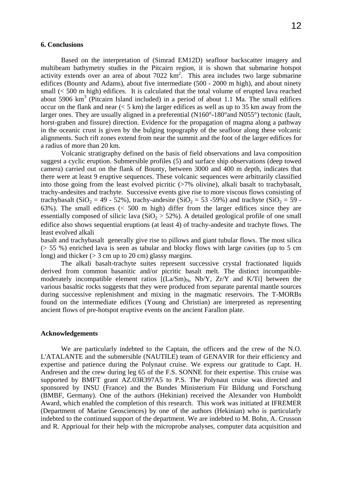#### **6. Conclusions**

Based on the interpretation of (Simrad EM12D) seafloor backscatter imagery and multibeam bathymetry studies in the Pitcairn region, it is shown that submarine hotspot activity extends over an area of about  $7022 \text{ km}^2$ . This area includes two large submarine edifices (Bounty and Adams), about five intermediate (500 - 2000 m high), and about ninety small (< 500 m high) edifices. It is calculated that the total volume of erupted lava reached about  $5906 \text{ km}^3$  (Pitcairn Island included) in a period of about 1.1 Ma. The small edifices occur on the flank and near  $(< 5 \text{ km})$  the larger edifices as well as up to 35 km away from the larger ones. They are usually aligned in a preferential (N160°-180°and N055°) tectonic (fault, horst-graben and fissure) direction. Evidence for the propagation of magma along a pathway in the oceanic crust is given by the bulging topography of the seafloor along these volcanic alignments. Such rift zones extend from near the summit and the foot of the larger edifices for a radius of more than 20 km.

Volcanic stratigraphy defined on the basis of field observations and lava composition suggest a cyclic eruption. Submersible profiles (5) and surface ship observations (deep towed camera) carried out on the flank of Bounty, between 3000 and 400 m depth, indicates that there were at least 9 eruptive sequences. These volcanic sequences were arbitrarily classified into those going from the least evolved picritic (>7% olivine), alkali basalt to trachybasalt, trachy-andesites and trachyte. Successive events give rise to more viscous flows consisting of trachybasalt (SiO<sub>2</sub> = 49 - 52%), trachy-andesite (SiO<sub>2</sub> = 53 -59%) and trachyte (SiO<sub>2</sub> = 59 -63%). The small edifices (< 500 m high) differ from the larger edifices since they are essentially composed of silicic lava ( $SiO<sub>2</sub> > 52$ %). A detailed geological profile of one small edifice also shows sequential eruptions (at least 4) of trachy-andesite and trachyte flows. The least evolved alkali

basalt and trachybasalt generally give rise to pillows and giant tubular flows. The most silica (> 55 %) enriched lava is seen as tabular and blocky flows with large cavities (up to 5 cm long) and thicker ( $>$  3 cm up to 20 cm) glassy margins.

The alkali basalt-trachyte suites represent successive crystal fractionated liquids derived from common basanitic and/or picritic basalt melt. The distinct incompatiblemoderately incompatible element ratios  $\overline{[(La/Sm)<sub>N</sub>]$ , Nb/Y, Zr/Y and K/Til between the various basaltic rocks suggests that they were produced from separate parental mantle sources during successive replenishment and mixing in the magmatic reservoirs. The T-MORBs found on the intermediate edifices (Young and Christian) are interpreted as representing ancient flows of pre-hotspot eruptive events on the ancient Farallon plate.

## **Acknowledgements**

 We are particularly indebted to the Captain, the officers and the crew of the N.O. L'ATALANTE and the submersible (NAUTILE) team of GENAVIR for their efficiency and expertise and patience during the Polynaut cruise. We express our gratitude to Capt. H. Andresen and the crew during leg 65 of the F.S. SONNE for their expertise. This cruise was supported by BMFT grant AZ.03R397A5 to P.S. The Polynaut cruise was directed and sponsored by INSU (France) and the Bundes Ministerium Für Bildung und Forschung (BMBF, Germany). One of the authors (Hekinian) received the Alexander von Humboldt Award, which enabled the completion of this research. This work was initiated at IFREMER (Department of Marine Geosciences) by one of the authors (Hekinian) who is particularly indebted to the continued support of the department. We are indebted to M. Bohn, A. Crusson and R. Apprioual for their help with the microprobe analyses, computer data acquisition and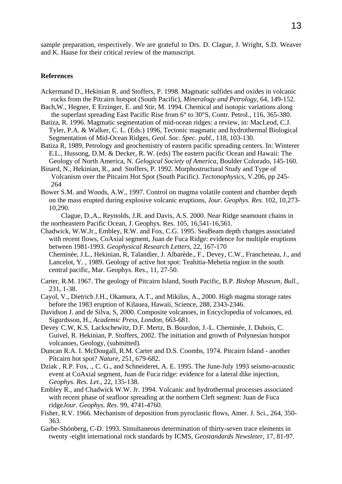sample preparation, respectively. We are grateful to Drs. D. Clague, J. Wright, S.D. Weaver and K. Haase for their critical review of the manuscript.

## **References**

- Ackermand D., Hekinian R. and Stoffers, P. 1998. Magmatic sulfides and oxides in volcanic rocks from the Pitcairn hotspot (South Pacific), *Mineralogy and Petrology*, 64, 149-152.
- Bach,W., Hegner, E Erzinger, E. and Stir, M. 1994. Chemical and isotopic variations along the superfast spreading East Pacific Rise from 6° to 30°S, Contr. Petrol., 116, 365-380.
- Batiza, R. 1996. Magmatic segmentation of mid-ocean ridges: a review, in: MacLeod, C.J. Tyler, P.A. & Walker, C. L. (Eds.) 1996, Tectonic magmatic and hydrothermal Biological Segmentation of Mid-Ocean Ridges, *Geol. Soc. Spec. publ.*, 118, 103-130.
- Batiza R, 1989, Petrology and geochemistry of eastern pacific spreading centers. In: Winterer E.L., Hussong, D.M. & Decker, R. W. (eds) The eastern pacific Ocean and Hawaii: The Geology of North America, N. *Gelogical Society of America*, Boulder Colorado, 145-160.
- Binard, N., Hekinian, R., and Stoffers, P. 1992. Morphostructural Study and Type of Volcanism over the Pitcairn Hot Spot (South Pacific*)*. *Tectonophysics,* V.206, pp 245- 264
- Bower S.M. and Woods, A.W., 1997. Control on magma volatile content and chamber depth on the mass erupted during explosive volcanic eruptions, *Jour. Geophys. Res*. 102, 10,273- 10,290.
- Clague, D.,A., Reynolds, J.R. and Davis, A.S. 2000. Near Ridge seamount chains in the northeastern Pacific Ocean, J. Geophys. Res. 105, 16,541-16,561.
- Chadwick, W.W.Jr., Embley, R.W. and Fox, C.G. 1995. SeaBeam depth changes associated with recent flows, CoAxial segment, Juan de Fuca Ridge: evidence for multiple eruptions between 1981-1993. *Geophysical Research Letters*, 22, 167-170
	- Cheminée, J.L., Hekinian, R, Talandier, J. Albarède., F., Devey, C.W., Francheteau, J., and Lancelot, Y. , 1989. Geology of active hot spot: Teahitia-Mehetia region in the south central pacific, Mar. Geophys. Res., 11, 27-50.
- Carter, R.M. 1967. The geology of Pitcairn Island, South Pacific, B.P. *Bishop Museum, Bull.,*  231, 1-38.
- Cayol, V., Dietrich J.H., Okamura, A.T., and Mikilus, A., 2000. High magma storage rates before the 1983 eruption of Kilauea, Hawaii, Science, 288, 2343-2346.
- Davidson J. and de Silva, S, 2000. Composite volcanoes, in Encyclopedia of volcanoes, ed. Sigurdsson, H., *Academic Press, London*, 663-681.
- Devey C.W, K.S. Lackschewitz, D.F. Mertz, B. Bourdon, J.-L. Cheminée, J. Dubois, C. Guivel, R. Hekinian, P. Stoffers, 2002. The initiation and growth of Polynesian hotspot volcanoes, Geology, (submitted).
- Duncan R.A. I. McDougall, R.M. Carter and D.S. Coombs, 1974. Pitcairn Island another Pitcairn hot spot? *Nature*, 251, 679-682.
- Dziak , R.P. Fox, ., C. G., and Schneideret, A. E. 1995. The June-July 1993 seismo-acoustic event at CoAxial segment, Juan de Fuca ridge: evidence for a lateral dike injection, *Geophys. Res. Let.,* 22, 135-138.
- Embley R., and Chadwick W.W. Jr. 1994. Volcanic and hydrothermal processes associated with recent phase of seafloor spreading at the northern Cleft segment: Juan de Fuca ridge*Jour. Geophys. Res*. 99, 4741-4760.
- Fisher, R.V. 1966. Mechanism of deposition from pyroclastic flows, Amer. J. Sci., 264, 350- 363.
- Garbe-Shönberg, C-D. 1993. Simultaneous determination of thirty-seven trace elements in twenty -eight international rock standards by ICMS, *Geostandards Newsleter*, 17, 81-97.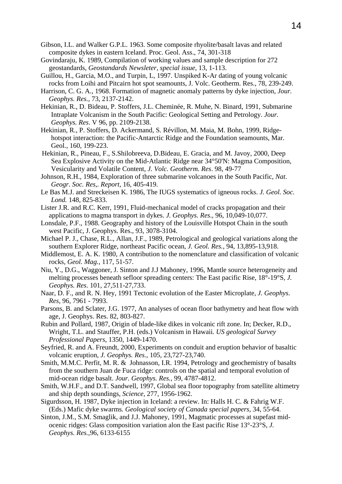- Gibson, I.L. and Walker G.P.L. 1963. Some composite rhyolite/basalt lavas and related composite dykes in eastern Iceland. Proc. Geol. Ass., 74, 301-318
- Govindaraju, K. 1989, Compilation of working values and sample description for 272 geostandards, *Geostandards Newsleter, special issue*, 13, 1-113.
- Guillou, H., Garcia, M.O., and Turpin, L, 1997. Unspiked K-Ar dating of young volcanic rocks from Loihi and Pitcairn hot spot seamounts, J. Volc. Geotherm. Res., 78, 239-249.
- Harrison, C. G. A., 1968. Formation of magnetic anomaly patterns by dyke injection, *Jour. Geophys. Res.,* 73, 2137-2142.
- Hekinian, R., D. Bideau, P. Stoffers, J.L. Cheminée, R. Muhe, N. Binard, 1991, Submarine Intraplate Volcanism in the South Pacific: Geological Setting and Petrology. *Jour. Geophys. Res*. V 96, pp. 2109-2138.
- Hekinian, R., P. Stoffers, D. Ackermand, S. Révillon, M. Maia, M. Bohn, 1999, Ridgehotspot interaction: the Pacific-Antarctic Ridge and the Foundation seamounts, Mar. Geol., 160, 199-223.
- Hekinian, R., Pineau, F., S.Shilobreeva, D.Bideau, E. Gracia, and M. Javoy, 2000, Deep Sea Explosive Activity on the Mid-Atlantic Ridge near 34°50'N: Magma Composition, Vesicularity and Volatile Content, *J. Volc. Geotherm. Res*. 98, 49-77
- Johnson, R.H., 1984, Exploration of three submarine volcanoes in the South Pacific, *Nat*. *Geogr. Soc. Res,. Report*, 16, 405-419.
- Le Bas M.J. and Streckeisen K. 1986, The IUGS systematics of igneous rocks. *J. Geol. Soc. Lond.* 148, 825-833.
- Lister J.R. and R.C. Kerr, 1991, Fluid-mechanical model of cracks propagation and their applications to magma transport in dykes. *J. Geophys. Res*., 96, 10,049-10,077.
- Lonsdale, P.F., 1988. Geography and history of the Louisville Hotspot Chain in the south west Pacific, J. Geophys. Res., 93, 3078-3104.
- Michael P. J., Chase, R.L., Allan, J.F., 1989, Petrological and geological variations along the southern Explorer Ridge, northeast Pacific ocean, *J. Geol. Res.,* 94, 13,895-13,918.
- Middlemost, E. A. K. 1980, A contribution to the nomenclature and classification of volcanic rocks, *Geol. Mag.*, 117, 51-57.
- Niu, Y., D.G., Waggoner, J. Sinton and J.J Mahoney, 1996, Mantle source heterogeneity and melting processes beneath sefloor spreading centers: The East pacific Rise, 18°-19°S*, J. Geophys. Res*. 101, 27,511-27,733.
- Naar, D. F., and R. N. Hey, 1991 Tectonic evolution of the Easter Microplate*, J. Geophys. Res*, 96, 7961 - 7993.
- Parsons, B. and Sclater, J.G. 1977, An analyses of ocean floor bathymetry and heat flow with age, J. Geophys. Res. 82, 803-827.
- Rubin and Pollard, 1987, Origin of blade-like dikes in volcanic rift zone. In; Decker, R.D., Wright, T.L. and Stauffer, P.H. (eds.) Volcanism in Hawaii*. US geological Survey Professional Papers*, 1350, 1449-1470.
- Seyfried, R. and A. Freundt, 2000, Experiments on conduit and eruption behavior of basaltic volcanic eruption, *J. Geophys. Res.,* 105, 23,727-23,740.
- Smith, M.M.C. Perfit, M. R. & Johnasson, I.R. 1994, Petrology and geochemistry of basalts from the southern Juan de Fuca ridge: controls on the spatial and temporal evolution of mid-ocean ridge basalt. *Jour. Geophys. Res.,* 99, 4787-4812.
- Smith, W.H.F., and D.T. Sandwell, 1997, Global sea floor topography from satellite altimetry and ship depth soundings, *Science,* 277, 1956-1962.
- Sigurdsson, H. 1987, Dyke injection in Iceland: a review. In: Halls H. C. & Fahrig W.F. (Eds.) Mafic dyke swarms*. Geological society of Canada special papers*, 34, 55-64.
- Sinton, J.M., S.M. Smaglik, and J.J. Mahoney, 1991, Magmatic processes at supefast midocenic ridges: Glass composition variation alon the East pacific Rise 13°-23°S, *J. Geophys. Res.,*96, 6133-6155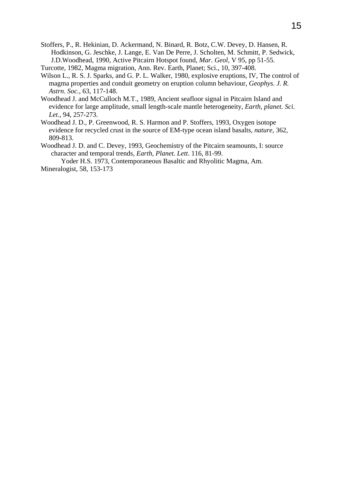Stoffers, P., R. Hekinian, D. Ackermand, N. Binard, R. Botz, C.W. Devey, D. Hansen, R. Hodkinson, G. Jeschke, J. Lange, E. Van De Perre, J. Scholten, M. Schmitt, P. Sedwick, J.D.Woodhead, 1990, Active Pitcairn Hotspot found, *Mar. Geol,* V 95, pp 51-55.

Turcotte, 1982, Magma migration, Ann. Rev. Earth, Planet; Sci., 10, 397-408.

- Wilson L., R. S. J. Sparks, and G. P. L. Walker, 1980, explosive eruptions, IV, The control of magma properties and conduit geometry on eruption column behaviour, *Geophys. J. R. Astrn. Soc.,* 63, 117-148.
- Woodhead J. and McCulloch M.T., 1989, Ancient seafloor signal in Pitcairn Island and evidence for large amplitude, small length-scale mantle heterogeneity*, Earth, planet. Sci. Let*., 94, 257-273.
- Woodhead J. D., P. Greenwood, R. S. Harmon and P. Stoffers, 1993, Oxygen isotope evidence for recycled crust in the source of EM-type ocean island basalts*, nature*, 362, 809-813.
- Woodhead J. D. and C. Devey, 1993, Geochemistry of the Pitcairn seamounts, I: source character and temporal trends*, Earth, Planet. Lett*. 116, 81-99.

Yoder H.S. 1973, Contemporaneous Basaltic and Rhyolitic Magma, Am. Mineralogist, 58, 153-173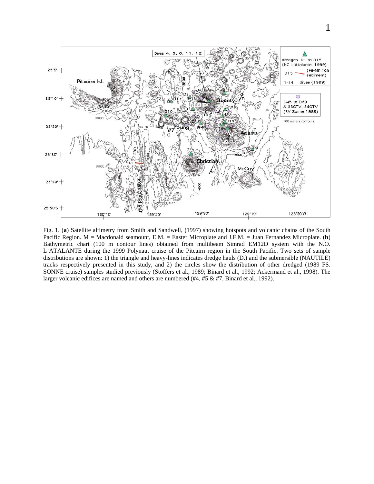

Fig. 1. (**a**) Satellite altimetry from Smith and Sandwell, (1997) showing hotspots and volcanic chains of the South Pacific Region. M = Macdonald seamount, E.M. = Easter Microplate and J.F.M. = Juan Fernandez Microplate. (**b**) Bathymetric chart (100 m contour lines) obtained from multibeam Simrad EM12D system with the N.O. L'ATALANTE during the 1999 Polynaut cruise of the Pitcairn region in the South Pacific. Two sets of sample distributions are shown: 1) the triangle and heavy-lines indicates dredge hauls (D.) and the submersible (NAUTILE) tracks respectively presented in this study, and 2) the circles show the distribution of other dredged (1989 FS. SONNE cruise) samples studied previously (Stoffers et al., 1989; Binard et al., 1992; Ackermand et al., 1998). The larger volcanic edifices are named and others are numbered (**#**4, **#**5 & **#**7, Binard et al., 1992).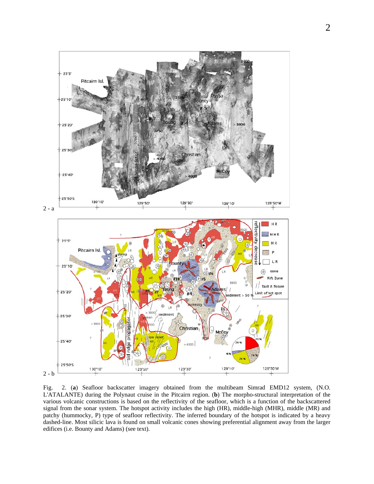

Fig. 2. (**a**) Seafloor backscatter imagery obtained from the multibeam Simrad EMD12 system, (N.O. L'ATALANTE) during the Polynaut cruise in the Pitcairn region. (**b**) The morpho-structural interpretation of the various volcanic constructions is based on the reflectivity of the seafloor, which is a function of the backscattered signal from the sonar system. The hotspot activity includes the high (HR), middle-high (MHR), middle (MR) and patchy (hummocky, P) type of seafloor reflectivity. The inferred boundary of the hotspot is indicated by a heavy dashed-line. Most silicic lava is found on small volcanic cones showing preferential alignment away from the larger edifices (i.e. Bounty and Adams) (see text).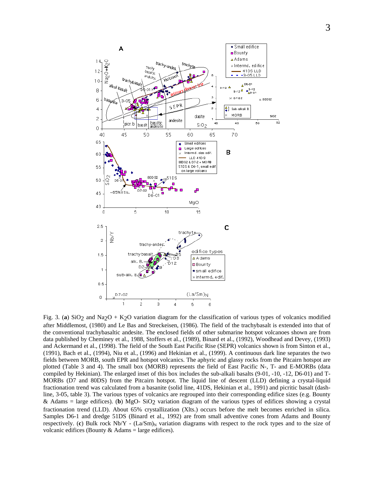

Fig. 3. (a) SiO<sub>2</sub> and Na<sub>2</sub>O + K<sub>2</sub>O variation diagram for the classification of various types of volcanics modified after Middlemost, (1980) and Le Bas and Streckeisen, (1986). The field of the trachybasalt is extended into that of the conventional trachybasaltic andesite. The enclosed fields of other submarine hotspot volcanoes shown are from data published by Cheminey et al., 1988, Stoffers et al., (1989), Binard et al., (1992), Woodhead and Devey, (1993) and Ackermand et al., (1998). The field of the South East Pacific Rise (SEPR) volcanics shown is from Sinton et al., (1991), Bach et al., (1994), Niu et al., (1996) and Hekinian et al., (1999). A continuous dark line separates the two fields between MORB, south EPR and hotspot volcanics. The aphyric and glassy rocks from the Pitcairn hotspot are plotted (Table 3 and 4). The small box (MORB) represents the field of East Pacific N-, T- and E-MORBs (data compiled by Hekinian). The enlarged inset of this box includes the sub-alkali basalts (9-01, -10, -12, D6-01) and T-MORBs (D7 and 80DS) from the Pitcairn hotspot. The liquid line of descent (LLD) defining a crystal-liquid fractionation trend was calculated from a basanite (solid line, 41DS, Hekinian et al., 1991) and picritic basalt (dashline, 3-05, table 3). The various types of volcanics are regrouped into their corresponding edifice sizes (e.g. Bounty & Adams = large edifices). (**b**) MgO- SiO2 variation diagram of the various types of edifices showing a crystal fractionation trend (LLD). About 65% crystallization (Xlts.) occurs before the melt becomes enriched in silica. Samples D6-1 and dredge 51DS (Binard et al., 1992) are from small adventive cones from Adams and Bounty respectively. (c) Bulk rock  $Nb/Y$  -  $(La/Sm)_{N}$  variation diagrams with respect to the rock types and to the size of volcanic edifices (Bounty  $&$  Adams = large edifices).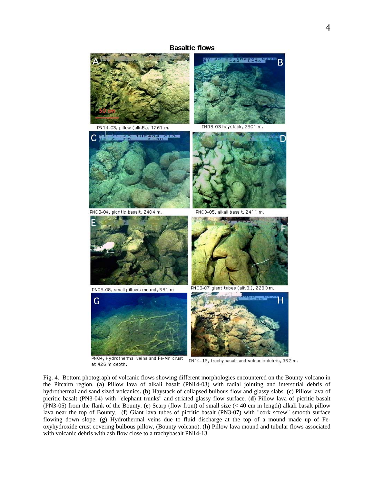## **Basaltic flows**



PN04, Hydrothermal veins and Fe-Mn crust PN14-13, trachybasalt and volcanic debris, 952 m. at 426 m depth.

Fig. 4. Bottom photograph of volcanic flows showing different morphologies encountered on the Bounty volcano in the Pitcairn region. (**a**) Pillow lava of alkali basalt (PN14-03) with radial jointing and interstitial debris of hydrothermal and sand sized volcanics**.** (**b**) Haystack of collapsed bulbous flow and glassy slabs. (**c**) Pillow lava of picritic basalt (PN3-04) with "elephant trunks" and striated glassy flow surface. (**d**) Pillow lava of picritic basalt (PN3-05) from the flank of the Bounty. (**e**) Scarp (flow front) of small size (< 40 cm in length) alkali basalt pillow lava near the top of Bounty. (**f**) Giant lava tubes of picritic basalt (PN3-07) with "cork screw" smooth surface flowing down slope. (**g**) Hydrothermal veins due to fluid discharge at the top of a mound made up of Feoxyhydroxide crust covering bulbous pillow, (Bounty volcano). (**h**) Pillow lava mound and tubular flows associated with volcanic debris with ash flow close to a trachybasalt PN14-13.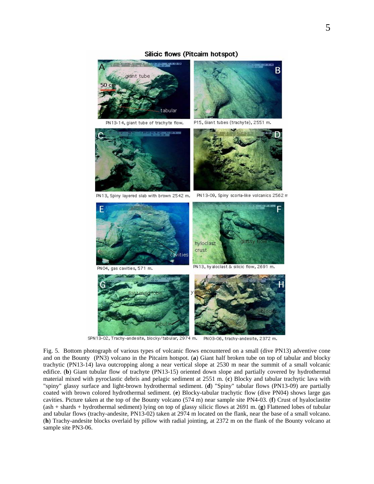#### Silicic flows (Pitcaim hotspot)

B civant tabular PN 13-14, giant tube of trachyte flow. P15, Giant tubes (trachyte), 2551 m. **BESTOR** PN13, Spiny layered slab with brown 2542 m. PN13-09, Spiny scoria-like volcanics 2562 m F hyloclast crust cavities PN13, hy aloclast & silicic flow, 2691 m. PNO4, gas cavities, 571 m. tabular

SPN13-02, Trachy-andesite, blocky/tabular, 2974 m. PN03-06, trachy-andesite, 2372 m.

Fig. 5. Bottom photograph of various types of volcanic flows encountered on a small (dive PN13) adventive cone and on the Bounty (PN3) volcano in the Pitcairn hotspot. (**a**) Giant half broken tube on top of tabular and blocky trachytic (PN13-14) lava outcropping along a near vertical slope at 2530 m near the summit of a small volcanic edifice. (**b**) Giant tubular flow of trachyte (PN13-15) oriented down slope and partially covered by hydrothermal material mixed with pyroclastic debris and pelagic sediment at 2551 m. (**c**) Blocky and tabular trachytic lava with "spiny" glassy surface and light-brown hydrothermal sediment. (**d**) "Spiny" tabular flows (PN13-09) are partially coated with brown colored hydrothermal sediment. (**e**) Blocky-tabular trachytic flow (dive PN04) shows large gas cavities. Picture taken at the top of the Bounty volcano (574 m) near sample site PN4-03. (**f**) Crust of hyaloclastite (ash + shards + hydrothermal sediment) lying on top of glassy silicic flows at 2691 m. (**g**) Flattened lobes of tubular and tabular flows (trachy-andesite, PN13-02) taken at 2974 m located on the flank, near the base of a small volcano. (**h**) Trachy-andesite blocks overlaid by pillow with radial jointing, at 2372 m on the flank of the Bounty volcano at sample site PN3-06.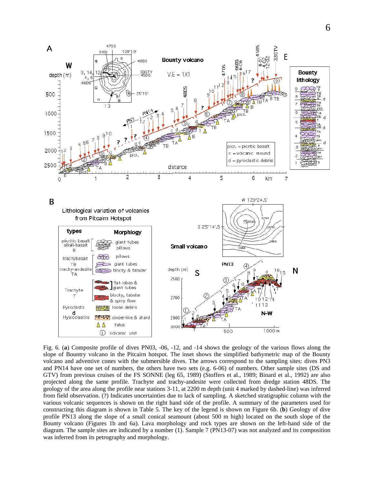

Fig. 6. (**a**) Composite profile of dives PN03, -06, -12, and -14 shows the geology of the various flows along the slope of Bountry volcano in the Pitcairn hotspot. The inset shows the simplified bathymetric map of the Bounty volcano and adventive cones with the submersible dives. The arrows correspond to the sampling sites: dives PN3 and PN14 have one set of numbers, the others have two sets (e.g. 6-06) of numbers. Other sample sites (DS and GTV) from previous cruises of the FS SONNE (leg 65, 1989) (Stoffers et al., 1989; Binard et al., 1992) are also projected along the same profile. Trachyte and trachy-andesite were collected from dredge station 48DS. The geology of the area along the profile near stations 3-11, at 2200 m depth (unit 4 marked by dashed-line) was inferred from field observation. (?) Indicates uncertainties due to lack of sampling. A sketched stratigraphic column with the various volcanic sequences is shown on the right hand side of the profile. A summary of the parameters used for constructing this diagram is shown in Table 5. The key of the legend is shown on Figure 6b. (**b**) Geology of dive profile PN13 along the slope of a small conical seamount (about 500 m high) located on the south slope of the Bounty volcano (Figures 1b and 6a). Lava morphology and rock types are shown on the left-hand side of the diagram. The sample sites are indicated by a number (1). Sample 7 (PN13-07) was not analyzed and its composition was inferred from its petrography and morphology.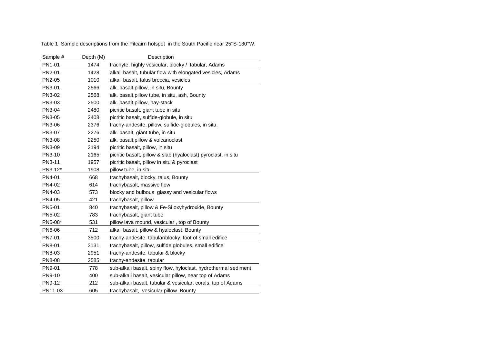Table 1 Sample descriptions from the Pitcairn hotspot in the South Pacific near 25°S-130°W.

| Sample # | Depth (M) | Description                                                     |
|----------|-----------|-----------------------------------------------------------------|
| PN1-01   | 1474      | trachyte, highly vesicular, blocky / tabular, Adams             |
| PN2-01   | 1428      | alkali basalt, tubular flow with elongated vesicles, Adams      |
| PN2-05   | 1010      | alkali basalt, talus breccia, vesicles                          |
| PN3-01   | 2566      | alk. basalt, pillow, in situ, Bounty                            |
| PN3-02   | 2568      | alk. basalt, pillow tube, in situ, ash, Bounty                  |
| PN3-03   | 2500      | alk. basalt, pillow, hay-stack                                  |
| PN3-04   | 2480      | picritic basalt, giant tube in situ                             |
| PN3-05   | 2408      | picritic basalt, sulfide-globule, in situ                       |
| PN3-06   | 2376      | trachy-andesite, pillow, sulfide-globules, in situ,             |
| PN3-07   | 2276      | alk. basalt, giant tube, in situ                                |
| PN3-08   | 2250      | alk. basalt, pillow & volcanoclast                              |
| PN3-09   | 2194      | picritic basalt, pillow, in situ                                |
| PN3-10   | 2165      | picritic basalt, pillow & slab (hyaloclast) pyroclast, in situ  |
| PN3-11   | 1957      | picritic basalt, pillow in situ & pyroclast                     |
| PN3-12*  | 1908      | pillow tube, in situ                                            |
| PN4-01   | 668       | trachybasalt, blocky, talus, Bounty                             |
| PN4-02   | 614       | trachybasalt, massive flow                                      |
| PN4-03   | 573       | blocky and bulbous glassy and vesicular flows                   |
| PN4-05   | 421       | trachybasalt, pillow                                            |
| PN5-01   | 840       | trachybasalt, pillow & Fe-Si oxyhydroxide, Bounty               |
| PN5-02   | 783       | trachybasalt, giant tube                                        |
| PN5-08*  | 531       | pillow lava mound, vesicular, top of Bounty                     |
| PN6-06   | 712       | alkali basalt, pillow & hyaloclast, Bounty                      |
| PN7-01   | 3500      | trachy-andesite, tabular/blocky, foot of small edifice          |
| PN8-01   | 3131      | trachybasalt, pillow, sulfide globules, small edifice           |
| PN8-03   | 2951      | trachy-andesite, tabular & blocky                               |
| PN8-08   | 2585      | trachy-andesite, tabular                                        |
| PN9-01   | 778       | sub-alkali basalt, spiny flow, hyloclast, hydrothermal sediment |
| PN9-10   | 400       | sub-alkali basalt, vesicular pillow, near top of Adams          |
| PN9-12   | 212       | sub-alkali basalt, tubular & vesicular, corals, top of Adams    |
| PN11-03  | 605       | trachybasalt, vesicular pillow, Bounty                          |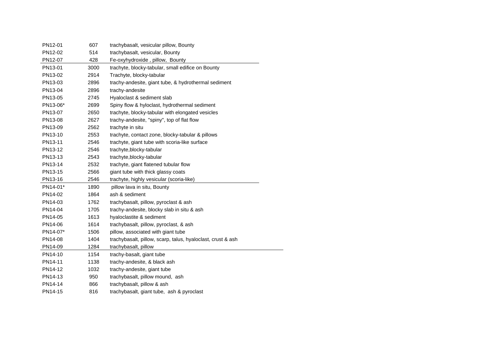| PN12-01  | 607  | trachybasalt, vesicular pillow, Bounty                      |
|----------|------|-------------------------------------------------------------|
| PN12-02  | 514  | trachybasalt, vesicular, Bounty                             |
| PN12-07  | 428  | Fe-oxyhydroxide, pillow, Bounty                             |
| PN13-01  | 3000 | trachyte, blocky-tabular, small edifice on Bounty           |
| PN13-02  | 2914 | Trachyte, blocky-tabular                                    |
| PN13-03  | 2896 | trachy-andesite, giant tube, & hydrothermal sediment        |
| PN13-04  | 2896 | trachy-andesite                                             |
| PN13-05  | 2745 | Hyaloclast & sediment slab                                  |
| PN13-06* | 2699 | Spiny flow & hyloclast, hydrothermal sediment               |
| PN13-07  | 2650 | trachyte, blocky-tabular with elongated vesicles            |
| PN13-08  | 2627 | trachy-andesite, "spiny", top of flat flow                  |
| PN13-09  | 2562 | trachyte in situ                                            |
| PN13-10  | 2553 | trachyte, contact zone, blocky-tabular & pillows            |
| PN13-11  | 2546 | trachyte, giant tube with scoria-like surface               |
| PN13-12  | 2546 | trachyte, blocky-tabular                                    |
| PN13-13  | 2543 | trachyte, blocky-tabular                                    |
| PN13-14  | 2532 | trachyte, giant flatened tubular flow                       |
| PN13-15  | 2566 | giant tube with thick glassy coats                          |
| PN13-16  | 2546 | trachyte, highly vesicular (scoria-like)                    |
| PN14-01* | 1890 | pillow lava in situ, Bounty                                 |
| PN14-02  | 1864 | ash & sediment                                              |
| PN14-03  | 1762 | trachybasalt, pillow, pyroclast & ash                       |
| PN14-04  | 1705 | trachy-andesite, blocky slab in situ & ash                  |
| PN14-05  | 1613 | hyaloclastite & sediment                                    |
| PN14-06  | 1614 | trachybasalt, pillow, pyroclast, & ash                      |
| PN14-07* | 1506 | pillow, associated with giant tube                          |
| PN14-08  | 1404 | trachybasalt, pillow, scarp, talus, hyaloclast, crust & ash |
| PN14-09  | 1284 | trachybasalt, pillow                                        |
| PN14-10  | 1154 | trachy-basalt, giant tube                                   |
| PN14-11  | 1138 | trachy-andesite, & black ash                                |
| PN14-12  | 1032 | trachy-andesite, giant tube                                 |
| PN14-13  | 950  | trachybasalt, pillow mound, ash                             |
| PN14-14  | 866  | trachybasalt, pillow & ash                                  |
| PN14-15  | 816  | trachybasalt, giant tube, ash & pyroclast                   |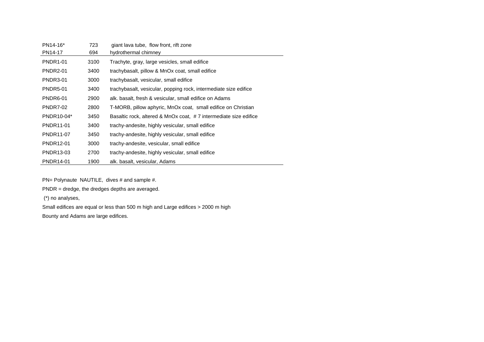| PN14-16*        | 723  | giant lava tube, flow front, rift zone                           |
|-----------------|------|------------------------------------------------------------------|
| PN14-17         | 694  | hydrothermal chimney                                             |
| <b>PNDR1-01</b> | 3100 | Trachyte, gray, large vesicles, small edifice                    |
| <b>PNDR2-01</b> | 3400 | trachybasalt, pillow & MnOx coat, small edifice                  |
| PNDR3-01        | 3000 | trachybasalt, vesicular, small edifice                           |
| <b>PNDR5-01</b> | 3400 | trachybasalt, vesicular, popping rock, intermediate size edifice |
| PNDR6-01        | 2900 | alk. basalt, fresh & vesicular, small edifice on Adams           |
| <b>PNDR7-02</b> | 2800 | T-MORB, pillow aphyric, MnOx coat, small edifice on Christian    |
| PNDR10-04*      | 3450 | Basaltic rock, altered & MnOx coat, #7 intermediate size edifice |
| PNDR11-01       | 3400 | trachy-andesite, highly vesicular, small edifice                 |
| PNDR11-07       | 3450 | trachy-andesite, highly vesicular, small edifice                 |
| PNDR12-01       | 3000 | trachy-andesite, vesicular, small edifice                        |
| PNDR13-03       | 2700 | trachy-andesite, highly vesicular, small edifice                 |
| PNDR14-01       | 1900 | alk. basalt, vesicular, Adams                                    |

PN= Polynaute NAUTILE, dives # and sample #.

PNDR = dredge, the dredges depths are averaged.

(\*) no analyses,

Small edifices are equal or less than 500 m high and Large edifices > 2000 m high

Bounty and Adams are large edifices.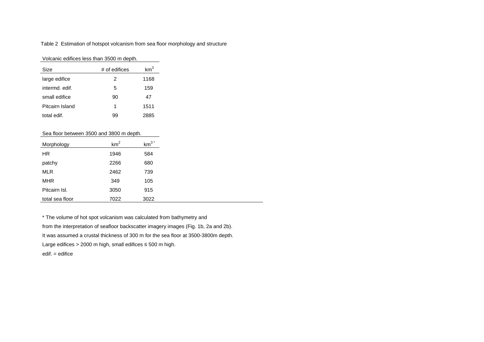Table 2 Estimation of hotspot volcanism from sea floor morphology and structure

| Volcanic edifices less than 3500 m depth. |
|-------------------------------------------|
|-------------------------------------------|

| Size            | # of edifices | km <sup>3</sup> |
|-----------------|---------------|-----------------|
| large edifice   | 2             | 1168            |
| intermd, edif.  | 5             | 159             |
| small edifice   | 90            | 47              |
| Pitcairn Island | 1             | 1511            |
| total edif.     | 99            | 2885            |

#### Sea floor between 3500 and 3800 m depth.

| Morphology      | km <sup>2</sup> | $km^3$ <sup>*</sup> |
|-----------------|-----------------|---------------------|
| HR.             | 1946            | 584                 |
| patchy          | 2266            | 680                 |
| <b>MLR</b>      | 2462            | 739                 |
| <b>MHR</b>      | 349             | 105                 |
| Pitcairn Isl.   | 3050            | 915                 |
| total sea floor | 7022            | 3022                |

\* The volume of hot spot volcanism was calculated from bathymetry and from the interpretation of seafloor backscatter imagery images (Fig. 1b, 2a and 2b). It was assumed a crustal thickness of 300 m for the sea floor at 3500-3800m depth. Large edifices > 2000 m high, small edifices  $\leq$  500 m high. edif. = edifice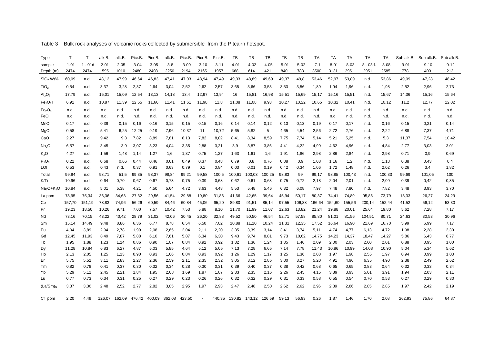| Type                             | Τ        | т         | alk.B.   | alk.B.   | Picr.B.  | Picr.B.                                   | alk.B.  | Picr.B.  | Picr.B.  | Picr.B.  | TB     | TB       | TB                          | TB       | TB       | TA      | TA       | TA       | TA        | ТA       |          | Sub alk.B. Sub alk.B. | Sub alk.B |
|----------------------------------|----------|-----------|----------|----------|----------|-------------------------------------------|---------|----------|----------|----------|--------|----------|-----------------------------|----------|----------|---------|----------|----------|-----------|----------|----------|-----------------------|-----------|
| sample                           | $1 - 01$ | $1 - 01d$ | $2 - 01$ | $2 - 05$ | $3 - 04$ | $3 - 05$                                  | $3 - 8$ | $3 - 09$ | $3 - 10$ | $3 - 11$ | 4-01   | $4 - 02$ | $4 - 05$                    | $5 - 01$ | $5 - 02$ | $7 - 1$ | $8 - 01$ | $8 - 03$ | $8 - 03d$ | $8 - 08$ | $9 - 01$ | $9 - 10$              | $9 - 12$  |
| Depth (m)                        | 2474     | 2474      | 1595     | 1010     | 2480     | 2408                                      | 2250    | 2194     | 2165     | 1957     | 668    | 614      | 421                         | 840      | 783      | 3500    | 3131     | 2951     | 2951      | 2585     | 778      | 400                   | 212       |
| SiO <sub>2</sub> Wt%             | 60,09    | n.d.      | 48,12    | 47,99    | 46,64    | 46,83                                     | 47,41   | 47,03    | 48,94    | 47,49    | 49,33  | 48,89    | 49,69                       | 49,37    | 49,8     | 53,46   | 52,97    | 53,89    | n.d.      | 53,86    | 49,09    | 47,28                 | 48,42     |
| TiO <sub>2</sub>                 | 0,54     | n.d.      | 3,37     | 3,28     | 2,37     | 2,64                                      | 3,04    | 2,52     | 2,62     | 2,57     | 3,65   | 3,66     | 3,53                        | 3,53     | 3,56     | 1,89    | 1,94     | 1,96     | n.d.      | 1,98     | 2,52     | 2,96                  | 2,73      |
| Al <sub>2</sub> O <sub>3</sub>   | 17,79    | n.d.      | 15,01    | 15,09    | 12,54    | 13,13                                     | 14,18   | 13,4     | 12,97    | 13,94    | 16     | 15,81    | 16,98                       | 15,51    | 15,69    | 15,17   | 15,16    | 15,51    | n.d.      | 15,67    | 14,36    | 15,16                 | 15,64     |
| Fe <sub>2</sub> O <sub>3</sub> T | 6,91     | n.d.      | 10,87    | 11,39    | 12,55    | 11,66                                     | 11,41   | 11,61    | 11,98    | 11,8     | 11,08  | 11,08    | 9,93                        | 10,27    | 10,22    | 10,65   | 10,32    | 10,41    | n.d.      | 10,12    | 11,2     | 12,77                 | 12,02     |
| Fe <sub>2</sub> O <sub>3</sub>   | n.d.     | n.d.      | n.d.     | n.d.     | n.d.     | n.d.                                      | n.d.    | n.d.     | n.d.     | n.d.     | n.d.   | n.d.     | n.d.                        | n.d.     | n.d.     | n.d.    | n.d.     | n.d.     | n.d.      | n.d.     | n.d.     | n.d.                  | n.d.      |
| FeO                              | n.d.     | n.d.      | n.d.     | n.d.     | n.d.     | n.d.                                      | n.d.    | n.d.     | n.d.     | n.d.     | n.d.   | n.d.     | n.d.                        | n.d.     | n.d.     | n.d.    | n.d.     | n.d.     | n.d.      | n.d.     | n.d.     | n.d.                  | n.d.      |
| MnO                              | 0,17     | n.d.      | 0,39     | 0,15     | 0,16     | 0,16                                      | 0,15    | 0,15     | 0,15     | 0,16     | 0,14   | 0,14     | 0,12                        | 0,13     | 0,13     | 0,19    | 0,17     | 0,17     | n.d.      | 0,16     | 0,15     | 0,21                  | 0,14      |
| MgO                              | 0,58     | n.d.      | 5,41     | 6,25     | 12,25    | 9,19                                      | 7,96    | 10,37    | 11       | 10,72    | 5,65   | 5,82     | 5                           | 4,65     | 4,54     | 2,56    | 2,72     | 2,76     | n.d.      | 2,22     | 6,88     | 7,37                  | 4,71      |
| CaO                              | 2,27     | n.d.      | 9,42     | 9,3      | 7,82     | 8,89                                      | 7,81    | 8,13     | 7,82     | 8,02     | 8,41   | 8,34     | 8,59                        | 7,75     | 7,74     | 5,14    | 5,21     | 5,25     | n.d.      | 5,3      | 11,37    | 7,54                  | 10,42     |
| Na <sub>2</sub> O                | 6,57     | n.d.      | 3,45     | 3,9      | 3,07     | 3,23                                      | 4,04    | 3,35     | 2,88     | 3,21     | 3,9    | 3,87     | 3,86                        | 4,41     | 4,22     | 4,99    | 4,62     | 4,96     | n.d.      | 4,84     | 2,77     | 3,03                  | 3,01      |
| K <sub>2</sub> O                 | 4,27     | n.d.      | 1,56     | 1,48     | 1,14     | 1,27                                      | 1,6     | 1,37     | 0,75     | 1,27     | 1,63   | 1,61     | 1,6                         | 1,91     | 1,86     | 2,98    | 2,86     | 2,84     | n.d.      | 2,98     | 0,71     | 0,9                   | 0,69      |
| $P_2O_5$                         | 0,22     | n.d.      | 0,68     | 0,66     | 0,44     | 0,46                                      | 0,61    | 0,49     | 0,37     | 0,48     | 0,79   | 0,8      | 0,76                        | 0,88     | 0,9      | 1,08    | 1,16     | 1,2      | n.d.      | 1,18     | 0,38     | 0,43                  | 0,4       |
| LOI                              | 0,53     | n.d.      | 0,43     | n.d.     | 0,37     | 0,91                                      | 0.63    | 0,79     | 0,1      | 0,84     | 0,03   | 0,01     | 0,19                        | 0,42     | 0,34     | 1,06    | 1,72     | 1,48     | n.d.      | 2,02     | 0,26     | 3,4                   | 1,82      |
| Total                            | 99,94    | n.d.      | 98,71    | 51,5     | 99,35    | 98,37                                     | 98,84   | 99,21    | 99,58    | 100,5    | 100,61 | 100,03   | 100,25                      | 98,83    | 99       | 99,17   | 98,85    | 100,43   | n.d.      | 100,33   | 99,69    | 101,05                | 100       |
| K/Ti                             | 10,96    | n.d.      | 0,64     | 0,70     | 0,67     | 0,67                                      | 0,73    | 0,75     | 0,39     | 0,68     | 0,62   | 0,61     | 0,63                        | 0,75     | 0,72     | 2,18    | 2,04     | 2,01     | n.d.      | 2,09     | 0,39     | 0,42                  | 0,35      |
| $Na2O+K2O$                       | 10,84    | n.d.      | 5,01     | 5,38     | 4,21     | 4,50                                      | 5,64    | 4,72     | 3,63     | 4,48     | 5,53   | 5,48     | 5,46                        | 6,32     | 6,08     | 7,97    | 7,48     | 7,80     | n.d.      | 7,82     | 3,48     | 3,93                  | 3,70      |
| La ppm                           | 78,95    | 75,34     | 36,36    | 34,63    | 27,32    | 29,56                                     | 41,54   | 29,88    | 19,80    | 31,86    | 41,66  | 42,65    | 39,64                       | 45,94    | 50,17    | 80,37   | 74,41    | 74,89    | 95,86     | 73,79    | 18,33    | 26,27                 | 24,29     |
| Ce                               | 157,70   | 151,19    | 78,83    | 74,96    | 56,26    | 60,59                                     | 84,46   | 60,84    | 45,06    | 65,20    | 89,80  | 91,51    | 85,14                       | 97,55    | 106,88   | 166,64  | 154,60   | 155,56   | 200,14    | 152,44   | 41,52    | 56,12                 | 53,30     |
| Pr                               | 19,23    | 18,50     | 10,26    | 9,71     | 7,00     | 7,57                                      | 10,42   | 7,53     | 5,88     | 8,10     | 11,70  | 11,99    | 11,07                       | 12,63    | 13,82    | 21,24   | 19,88    | 20,01    | 25,64     | 19,80    | 5,62     | 7,28                  | 7,17      |
| Nd                               | 73,16    | 70,15     | 43,22    | 40,42    | 28,79    | 31,02                                     | 42,06   | 30,45    | 26,20    | 32,88    | 49,52  | 50,50    | 46,54                       | 52,71    | 57,58    | 85,80   | 81,01    | 81,56    | 104,51    | 80,71    | 24,63    | 30,53                 | 30,96     |
| Sm                               | 15,14    | 14,49     | 9,48     | 8,86     | 6,36     | 6,77                                      | 8,78    | 6,54     | 6,50     | 7,02     | 10,88  | 11,10    | 10,24                       | 11,31    | 12,35    | 17,52   | 16,64    | 16,90    | 21,69     | 16,70    | 5,99     | 6,99                  | 7,17      |
| Eu                               | 4,04     | 3,89      | 2,94     | 2,78     | 1,99     | 2,08                                      | 2,65    | 2,04     | 2,11     | 2,20     | 3,35   | 3,39     | 3,14                        | 3,41     | 3,74     | 5,11    | 4,74     | 4,77     | 6,13      | 4,72     | 1,98     | 2,28                  | 2,30      |
| Gd                               | 12,45    | 11,93     | 8,49     | 7,87     | 5,88     | 6,10                                      | 7,61    | 5,87     | 6,34     | 6,30     | 9,43   | 9,74     | 8,81                        | 9,73     | 10,62    | 14,75   | 14,23    | 14,37    | 18,47     | 14,27    | 5,86     | 6,43                  | 6,77      |
| Tb                               | 1,95     | 1,88      | 1,23     | 1,14     | 0,86     | 0,90                                      | 1,07    | 0,84     | 0,92     | 0,92     | 1,32   | 1,36     | 1,24                        | 1,35     | 1,46     | 2,09    | 2,00     | 2,03     | 2,60      | 2,01     | 0,88     | 0,95                  | 1,00      |
| Dy                               | 11,28    | 10,84     | 6,83     | 6,27     | 4,87     | 5,03                                      | 5,85    | 4,64     | 5,12     | 5,05     | 7,13   | 7,28     | 6,65                        | 7,14     | 7,78     | 11,43   | 10,86    | 10,99    | 14,08     | 10,90    | 5,04     | 5,34                  | 5,62      |
| Ho                               | 2,13     | 2,05      | 1,25     | 1,13     | 0,90     | 0,93                                      | 1,06    | 0,84     | 0,93     | 0,92     | 1,26   | 1,29     | 1,17                        | 1,25     | 1,36     | 2,08    | 1,97     | 1,98     | 2,55      | 1,97     | 0,94     | 0,99                  | 1,03      |
| Er                               | 5,75     | 5,52      | 3,11     | 2,83     | 2,27     | 2,36                                      | 2,59    | 2,11     | 2,35     | 2,32     | 3,05   | 3,12     | 2,85                        | 3,00     | 3,27     | 5,20    | 4,91     | 4,96     | 6,35      | 4,90     | 2,38     | 2,49                  | 2,62      |
| Tm                               | 0,82     | 0,78      | 0,41     | 0,37     | 0,30     | 0,32                                      | 0,34    | 0,28     | 0,30     | 0,31     | 0,39   | 0,40     | 0,37                        | 0,38     | 0,42     | 0,68    | 0,65     | 0,65     | 0,83      | 0,64     | 0,32     | 0,33                  | 0,34      |
| Yb                               | 5,29     | 5,12      | 2,45     | 2,21     | 1,84     | 1,95                                      | 2,08    | 1,69     | 1,87     | 1,87     | 2,33   | 2,35     | 2,16                        | 2,26     | 2,45     | 4,15    | 3,89     | 3,93     | 5,01      | 3,91     | 1,94     | 2,03                  | 2,11      |
| Lu                               | 0,77     | 0,73      | 0,34     | 0,31     | 0,25     | 0,27                                      | 0,29    | 0,23     | 0,26     | 0,26     | 0,32   | 0,32     | 0,29                        | 0,31     | 0,33     | 0,58    | 0,55     | 0,54     | 0,70      | 0,53     | 0,27     | 0,29                  | 0,30      |
| (La/Sm) <sub>N</sub>             | 3,37     | 3,36      | 2,48     | 2,52     | 2,77     | 2,82                                      | 3,05    | 2,95     | 1,97     | 2,93     | 2,47   | 2,48     | 2,50                        | 2,62     | 2,62     | 2,96    | 2,89     | 2,86     | 2,85      | 2,85     | 1,97     | 2,42                  | 2,19      |
| Cr ppm                           | 2,20     | 4,49      |          |          |          | 126,07 162,09 476,42 400,09 362,08 423,50 |         |          | $\sim$   |          |        |          | 440,35 130,82 143,12 126,59 | 59,13    | 56,93    | 0,26    | 1,87     | 1,46     | 1,70      | 2,08     | 262,93   | 75,86                 | 64,87     |

Table 3 Bulk rock analyses of volcanic rocks collected by submersible from the Pitcairn hotspot.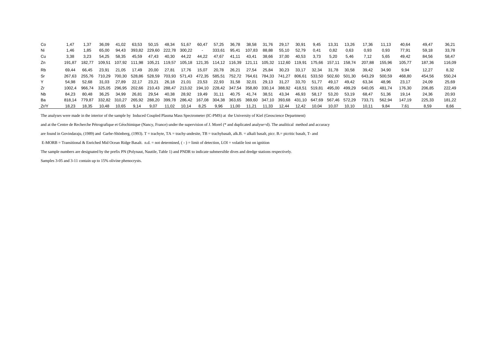Co 1,47 1,37 36,09 41,02 63,53 50,15 48,34 51,67 60,47 57,25 36,78 38,58 31,76 29,17 30,91 9,45 13,31 13,26 17,36 11,13 40,64 49,47 36,21 Ni 1,46 1,85 65,00 94,43 393,82 229,60 222,78 300,22 - 333,61 95,41 107,83 88,88 55,10 52,79 0,41 0,82 0,63 0,93 0,93 77,91 59,18 33,78 Cu 3,38 3,23 54,25 58,35 45,59 47,43 40,30 44,22 44,22 47,67 41,11 43,41 38,66 37,00 40,53 3,73 5,20 5,46 7,12 5,65 49,42 84,56 58,47 Zn 191,87 182,77 109,51 107,92 111,98 105,21 119,57 105,18 121,35 114,12 116,39 121,11 105,32 112,60 119,91 175,66 157,11 158,74 207,88 155,96 105,77 187,36 116,09 Rb 69,44 66,45 23,91 21,05 17,49 20,00 27,81 17,76 15,07 20,78 26,21 27,54 25,84 30,23 33,17 32,34 31,78 30,58 39,42 34,90 9,94 12,27 8,32 Sr 267,63 255,76 710,29 700,30 528,86 528,59 703,93 571,43 472,35 585,51 752,72 764,61 784,33 741,27 806,61 533,50 502,60 501,30 643,29 500,59 468,80 454,56 550,24 Y 54,98 52,68 31,03 27,89 22,17 23,21 26,18 21,01 23,53 22,93 31,58 32,01 29,13 31,27 33,70 51,77 49,17 49,42 63,34 48,96 23,17 24,09 25,69 Zr 1002,4 966,74 325,05 296,95 202,66 210,43 288,47 213,02 194,10 228,42 347,54 358,80 330,14 388,92 418,51 519,81 495,00 499,29 640,05 481,74 176,30 206,85 222,49 Nb 84,23 80,48 36,25 34,99 26,81 29,54 40,38 28,92 19,49 31,11 40,75 41,74 38,51 43,34 46,93 58,17 53,20 53,19 68,47 51,36 19,14 24,36 20,93 Ba 818,14 779,87 332,82 310,27 265,92 288,20 399,78 286,42 167,08 304,38 363,65 369,60 347,10 393,68 431,10 647,69 567,46 572,29 733,71 562,94 147,19 225,33 181,22 Zr/Y 18,23 18,35 10,48 10,65 9,14 9,07 11,02 10,14 8,25 9,96 11,00 11,21 11,33 12,44 12,42 10,04 10,07 10,10 10,11 9,84 7,61 8,59 8,66

The analyses were made in the interior of the sample by Induced Coupled Plasma Mass Spectrometer (IC-PMS) at the University of Kiel (Geoscience Department)

and at the Centre de Recherche Pétrografique et Géochimique (Nancy, France) under the supervision of J. Morel (\* and duplicated analyse=d). The analitical method and accuracy

are found in Govindaraju, (1989) and Garbe-Shönberg, (1993). T = trachyte, TA = trachy-andesite, TB = trachybasalt, alk.B. = alkali basalt, picr. B = picritic basalt, T- and

E-MORB = Transitional & Enriched Mid Ocean Ridge Basalt. n.d. = not determined, ( - ) = limit of detection, LOI = volatile lost on ignition

The sample numbers are designated by the prefix PN (Polynaut, Nautile, Table 1) and PNDR to indicate submersible dives and dredge stations respectively.

Samples 3-05 and 3-11 contain up to 15% olivine phenocrysts.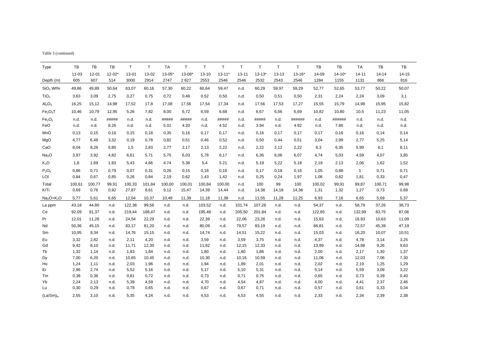| Table 3 (continued) |  |
|---------------------|--|

| Type                             | TB        | TB        | TB         | T.     | $\mathsf{T}$ | <b>TA</b>  | $\mathsf{T}$           | $\mathsf T$ | T          | $\mathsf{T}$ | $\mathsf T$ | $\mathsf T$ | $\mathsf T$ | TB     | TB         | TA           | TB     | TB    |
|----------------------------------|-----------|-----------|------------|--------|--------------|------------|------------------------|-------------|------------|--------------|-------------|-------------|-------------|--------|------------|--------------|--------|-------|
|                                  | $11 - 03$ | $12 - 01$ | $12 - 02*$ | 13-01  | 13-02        | $13 - 05*$ | $13 - 08$ <sup>*</sup> | 13-10       | $13 - 11'$ | $13 - 11$    | $13 - 13*$  | $13 - 13$   | $13 - 16*$  | 14-09  | $14 - 10*$ | $14 - 11$    | 14-14  | 14-15 |
| Depth (m)                        | 605       | 607       | 514        | 3000   | 2914         | 2747       | 2627                   | 2553        | 2546       | 2546         | 2532        | 2543        | 2546        | 1284   | 1155       | 1131         | 866    | 816   |
| SiO <sub>2</sub> Wt%             | 49,86     | 49,89     | 50,64      | 63,07  | 60,16        | 57,30      | 60,22                  | 60,64       | 59,47      | n.d.         | 60,29       | 59,97       | 59,29       | 52,77  | 52,65      | 53,77        | 50,22  | 50,07 |
| TiO <sub>2</sub>                 | 3,63      | 3,09      | 2,75       | 0,27   | 0,75         | 0,72       | 0,48                   | 0,52        | 0,50       | n.d.         | 0,50        | 0,51        | 0,50        | 2,31   | 2,24       | 2,24         | 3,09   | 3,1   |
| Al <sub>2</sub> O <sub>3</sub>   | 16,25     | 15,12     | 14,98      | 17,52  | 17,8         | 17,08      | 17,56                  | 17,54       | 17,34      | n.d.         | 17,56       | 17,53       | 17,27       | 15,55  | 15,79      | 14,98        | 15,95  | 15,82 |
| Fe <sub>2</sub> O <sub>3</sub> T | 10,46     | 10,79     | 12,95      | 5,26   | 7,82         | 8,00       | 6,72                   | 6,59        | 6,68       | n.d.         | 6,67        | 6,56        | 6,69        | 10,82  | 10,80      | 10,5         | 11,23  | 11,05 |
| Fe <sub>2</sub> O <sub>3</sub>   | n.d.      | n.d.      | #####      | n.d.   | n.d.         | #####      | #####                  | n.d.        | #####      | n.d.         | #####       | n.d.        | ######      | n.d.   | ######     | n.d.         | n.d.   | n.d.  |
| FeO                              | n.d.      | n.d.      | 8.26       | n.d.   | n.d.         | 5.01       | 4.20                   | n.d.        | 4.52       | n.d.         | 3.94        | n.d.        | 4.92        | n.d.   | 7.86       | n.d.         | n.d.   | n.d.  |
| MnO                              | 0,13      | 0, 15     | 0,16       | 0, 15  | 0,18         | 0,35       | 0,16                   | 0,17        | 0,17       | n.d.         | 0,16        | 0,17        | 0,17        | 0,17   | 0,16       | 0,16         | 0,14   | 0,14  |
| MgO                              | 4,77      | 6,48      | 3,32       | 0,19   | 0,78         | 0,82       | 0,51                   | 0,46        | 0,52       | n.d.         | 0,50        | 0,44        | 0,51        | 3,04   | 2,99       | 2,77         | 5,25   | 5,14  |
| CaO                              | 8,04      | 8,26      | 6,80       | 1,5    | 2,83         | 2,77       | 2,17                   | 2,13        | 2,22       | n.d.         | 2,22        | 2,12        | 2,22        | 6,3    | 6,35       | 5,99         | 8,1    | 8,11  |
| Na <sub>2</sub> O                | 3,97      | 3,92      | 4,82       | 6,61   | 5,71         | 5,75       | 6,03                   | 5,78        | 6,17       | n.d.         | 6,36        | 6,06        | 6,07        | 4,74   | 5,03       | 4,59         | 4,07   | 3,85  |
| K <sub>2</sub> O                 | 1,8       | 1,69      | 1.83       | 5,43   | 4,66         | 4.74       | 5.36                   | 5,4         | 5.21       | n.d.         | 5.19        | 5,22        | 5.18        | 2,19   | 2.13       | 2,06         | 1,62   | 1,52  |
| $P_2O_5$                         | 0,86      | 0,71      | 0,79       | 0,07   | 0,31         | 0,26       | 0,15                   | 0,18        | 0,16       | n.d.         | 0,17        | 0,18        | 0,16        | 1,05   | 0,88       | $\mathbf{1}$ | 0,71   | 0,71  |
| LOI                              | 0,84      | 0,67      | 0,85       | 0,26   | 0,84         | 2,19       | 0,62                   | 1,43        | 1,42       | n.d.         | 0,25        | 0,24        | 1,97        | 1,08   | 0,82       | 1,81         | 0,33   | 0,47  |
| Total                            | 100,61    | 100,77    | 99,91      | 100,33 | 101,84       | 100,00     | 100,01                 | 100.84      | 100,00     | n.d.         | 100         | 99          | 100         | 100,02 | 99,91      | 99,87        | 100,71 | 99,98 |
| K/Ti                             | 0,69      | 0,76      | 0,92       | 27,87  | 8,61         | 9,12       | 15,47                  | 14,39       | 14,44      | n.d.         | 14,38       | 14,18       | 14,36       | 1,31   | 1,32       | 1,27         | 0,73   | 0,68  |
| $Na2O+K2O$                       | 5,77      | 5,61      | 6,65       | 12,04  | 10,37        | 10,49      | 11,39                  | 11,18       | 11,38      | n.d.         | 11,55       | 11,28       | 11,25       | 6,93   | 7,16       | 6,65         | 5,69   | 5,37  |
| La ppm                           | 43,18     | 44,80     | n.d.       | 122,38 | 99,56        | n.d.       | n.d.                   | 103,52      | n.d.       | 101,74       | 107,26      | n.d.        | n.d.        | 54,37  | n.d.       | 58,79        | 37,26  | 38,73 |
| Ce                               | 92,09     | 91,37     | n.d.       | 219,44 | 188,47       | n.d.       | n.d.                   | 195,48      | n.d.       | 205,50       | 201,84      | n.d.        | n.d.        | 122,65 | n.d.       | 132,99       | 83,75  | 87,06 |
| Pr                               | 12,01     | 11,28     | n.d.       | 24,54  | 22,29        | n.d.       | n.d.                   | 22,39       | n.d.       | 22,06        | 23,28       | n.d.        | n.d.        | 15,63  | n.d.       | 16,93        | 10,63  | 11,09 |
| Nd                               | 50,36     | 45,15     | n.d.       | 83,17  | 81,20        | n.d.       | n.d.                   | 80,09       | n.d.       | 79,57        | 83,19       | n.d.        | n.d.        | 66,81  | n.d.       | 72,57        | 45,39  | 47,19 |
| Sm                               | 10,95     | 9,34      | n.d.       | 14,76  | 15,15        | n.d.       | n.d.                   | 14,74       | n.d.       | 14,51        | 15,22       | n.d.        | n.d.        | 15,03  | n.d.       | 16,20        | 10,07  | 10,51 |
| Eu                               | 3,32      | 2,82      | n.d.       | 2,11   | 4,20         | n.d.       | n.d.                   | 3,59        | n.d.       | 3,59         | 3,75        | n.d.        | n.d.        | 4,37   | n.d.       | 4,78         | 3,14   | 3,25  |
| Gd                               | 9,42      | 8,10      | n.d.       | 11,71  | 12,30        | n.d.       | n.d.                   | 11,82       | n.d.       | 12,15        | 12,33       | n.d.        | n.d.        | 13,99  | n.d        | 14,98        | 9,26   | 9,63  |
| Tb                               | 1,32      | 1,14      | n.d.       | 1,83   | 1,84         | n.d.       | n.d.                   | 1,80        | n.d.       | 1,80         | 1,86        | n.d.        | n.d.        | 2,00   | n.d.       | 2,17         | 1,30   | 1,37  |
| Dy                               | 7,00      | 6,20      | n.d.       | 10,65  | 10,45        | n.d.       | n.d.                   | 10,30       | n.d.       | 10,16        | 10,59       | n.d.        | n.d.        | 11,06  | n.d.       | 12,03        | 7,06   | 7,30  |
| Ho                               | 1,24      | 1,11      | n.d.       | 2,03   | 1,96         | n.d.       | n.d.                   | 1,94        | n.d.       | 1,89         | 2,01        | n.d.        | n.d.        | 2,02   | n.d.       | 2,19         | 1,25   | 1,29  |
| Er                               | 2,96      | 2,74      | n.d.       | 5,52   | 5,16         | n.d.       | n.d.                   | 5,17        | n.d.       | 5,10         | 5,31        | n.d.        | n.d.        | 5,14   | n.d.       | 5,59         | 3,09   | 3,22  |
| Tm                               | 0,38      | 0,36      | n.d.       | 0,81   | 0,72         | n.d.       | n.d.                   | 0,73        | n.d.       | 0,71         | 0,75        | n.d.        | n.d.        | 0,65   | n.d.       | 0,73         | 0,39   | 0,40  |
| Yb                               | 2,24      | 2,13      | n.d.       | 5,39   | 4,59         | n.d.       | n.d.                   | 4,70        | n.d.       | 4,54         | 4,87        | n.d.        | n.d.        | 4,00   | n.d.       | 4,41         | 2,37   | 2,46  |
| Lu                               | 0,30      | 0,29      | n.d.       | 0,78   | 0,65         | n.d.       | n.d.                   | 0,67        | n.d.       | 0,67         | 0,71        | n.d.        | n.d.        | 0,57   | n.d.       | 0,61         | 0,33   | 0,34  |
| (La/Sm) <sub>N</sub>             | 2,55      | 3,10      | n.d.       | 5,35   | 4,24         | n.d.       | n.d.                   | 4,53        | n.d.       | 4,53         | 4,55        | n.d.        | n.d.        | 2,33   | n.d.       | 2,34         | 2,39   | 2,38  |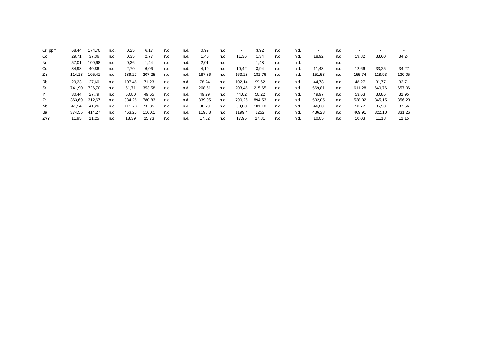| Cr ppm | 68,44  | 174,70 | n.d. | 0,25   | 6,17   | n.d. | n.d. | 0,99   | n.d. | $\overline{\phantom{a}}$ | 3,92   | n.d. | n.d. | $\overline{\phantom{0}}$ | n.d. |        |        |        |
|--------|--------|--------|------|--------|--------|------|------|--------|------|--------------------------|--------|------|------|--------------------------|------|--------|--------|--------|
| Co     | 29,71  | 37,36  | n.d. | 0,35   | 2,77   | n.d. | n.d. | 1,40   | n.d. | 11,36                    | 1,34   | n.d. | n.d. | 18,92                    | n.d. | 19,82  | 33,60  | 34,24  |
| Ni     | 57,01  | 109,68 | n.d. | 0.36   | 1,44   | n.d. | n.d. | 2,01   | n.d. | $\sim$                   | 1,48   | n.d. | n.d. | $\overline{\phantom{0}}$ | n.d. |        |        |        |
| Cu     | 34,98  | 40,86  | n.d. | 2,70   | 6,06   | n.d. | n.d. | 4,19   | n.d. | 10,42                    | 3,94   | n.d. | n.d. | 11,43                    | n.d. | 12,66  | 33,25  | 34,27  |
| Zn     | 114.13 | 105,41 | n.d. | 189,27 | 207,25 | n.d. | n.d. | 187,86 | n.d. | 163,28                   | 181,76 | n.d. | n.d. | 151,53                   | n.d. | 155,74 | 118,93 | 130,05 |
| Rb     | 29,23  | 27,60  | n.d. | 107,46 | 71,23  | n.d. | n.d. | 78,24  | n.d. | 102,14                   | 99,62  | n.d. | n.d. | 44,78                    | n.d. | 48,27  | 31,77  | 32,71  |
| Sr     | 741.90 | 726,70 | n.d. | 51,71  | 353,58 | n.d. | n.d. | 208,51 | n.d. | 203,46                   | 215,65 | n.d. | n.d. | 569,81                   | n.d. | 611,28 | 640,76 | 657,06 |
| Y      | 30,44  | 27,79  | n.d. | 50,80  | 49,65  | n.d. | n.d. | 49,29  | n.d. | 44,02                    | 50,22  | n.d. | n.d. | 49,97                    | n.d. | 53,63  | 30,86  | 31,95  |
| Zr     | 363.69 | 312,67 | n.d. | 934,26 | 780,83 | n.d. | n.d. | 839,05 | n.d. | 790,25                   | 894,53 | n.d. | n.d. | 502,05                   | n.d. | 538,02 | 345,15 | 356,23 |
| Nb     | 41.54  | 41,26  | n.d. | 111.78 | 90,35  | n.d. | n.d. | 96,79  | n.d. | 90,80                    | 101,10 | n.d. | n.d. | 46,80                    | n.d. | 50,77  | 35,90  | 37,56  |
| Ba     | 374.55 | 414.27 | n.d. | 463,26 | 1160,1 | n.d. | n.d. | 1198,8 | n.d. | 1199,4                   | 1252   | n.d. | n.d. | 436,23                   | n.d. | 469,91 | 322,10 | 331,26 |
| Zr/Y   | 11.95  | 11,25  | n.d. | 18,39  | 15,73  | n.d. | n.d. | 17,02  | n.d. | 17,95                    | 17,81  | n.d. | n.d. | 10,05                    | n.d. | 10,03  | 11,18  | 11,15  |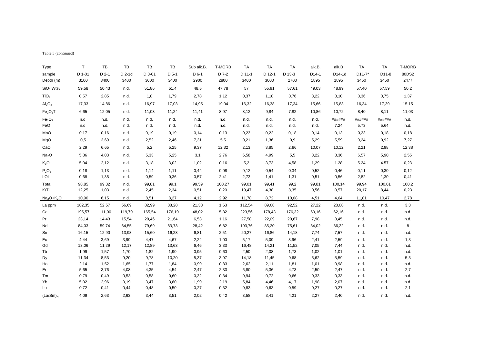| Table 3 (continued) |  |
|---------------------|--|

| Type                             | $\mathsf{T}$ | TB      | TB       | <b>TB</b> | TB      | Sub alk.B. | T-MORB | <b>TA</b> | TA     | <b>TA</b> | alk.B. | alk.B  | <b>TA</b>  | <b>TA</b> | <b>T-MORB</b> |
|----------------------------------|--------------|---------|----------|-----------|---------|------------|--------|-----------|--------|-----------|--------|--------|------------|-----------|---------------|
| sample                           | D 1-01       | $D$ 2-1 | $D$ 2-1d | $D$ 3-01  | $D$ 5-1 | $D6-1$     | D 7-2  | D 11-1    | D 12-1 | D 13-3    | D14-1  | D14-1d | $D11 - 7*$ | D11-8     | 80DS2         |
| Depth (m)                        | 3100         | 3400    | 3400     | 3000      | 3400    | 2900       | 2800   | 3400      | 3000   | 2700      | 1895   | 1895   | 3450       | 3450      | 2477          |
| SiO <sub>2</sub> Wt%             | 59,58        | 50,43   | n.d.     | 51,86     | 51,4    | 48,5       | 47,78  | 57        | 55,91  | 57,61     | 49,03  | 48,99  | 57,40      | 57,59     | 50,2          |
| TiO <sub>2</sub>                 | 0,57         | 2,85    | n.d.     | 1,8       | 1,79    | 2,78       | 1,12   | 0,37      | 1,18   | 0,76      | 3,22   | 3,10   | 0,36       | 0,75      | 1,37          |
| Al <sub>2</sub> O <sub>3</sub>   | 17,33        | 14,86   | n.d.     | 16,97     | 17,03   | 14,95      | 19,04  | 16,32     | 16,38  | 17,34     | 15,66  | 15,83  | 16,34      | 17,39     | 15,15         |
| Fe <sub>2</sub> O <sub>3</sub> T | 6,65         | 12,05   | n.d.     | 11,03     | 11,24   | 11,41      | 8,97   | 8,12      | 9,84   | 7,82      | 10,86  | 10,72  | 8,40       | 8,11      | 11,03         |
| Fe <sub>2</sub> O <sub>3</sub>   | n.d.         | n.d.    | n.d.     | n.d.      | n.d.    | n.d.       | n.d.   | n.d.      | n.d.   | n.d.      | n.d.   | ###### | ######     | ######    | n.d.          |
| FeO                              | n.d.         | n.d.    | n.d.     | n.d.      | n.d.    | n.d.       | n.d.   | n.d.      | n.d.   | n.d.      | n.d.   | 7.24   | 5.73       | 5.64      | n.d.          |
| MnO                              | 0,17         | 0,16    | n.d.     | 0,19      | 0, 19   | 0,14       | 0,13   | 0,23      | 0,22   | 0,18      | 0,14   | 0,13   | 0,23       | 0,18      | 0,18          |
| MgO                              | 0,5          | 3,69    | n.d.     | 2,52      | 2,46    | 7,31       | 5,5    | 0,21      | 1,36   | 0,9       | 5,29   | 5,59   | 0,24       | 0,92      | 7,27          |
| CaO                              | 2,29         | 6,65    | n.d.     | 5,2       | 5,25    | 9,37       | 12,32  | 2,13      | 3,85   | 2,86      | 10,07  | 10,12  | 2,21       | 2,98      | 12,38         |
| Na <sub>2</sub> O                | 5,86         | 4,03    | n.d.     | 5,33      | 5,25    | 3,1        | 2,76   | 6,58      | 4,99   | 5,5       | 3,22   | 3,36   | 6,57       | 5,90      | 2,55          |
| $K_2O$                           | 5,04         | 2,12    | n.d.     | 3,18      | 3,02    | 1,02       | 0,16   | 5,2       | 3,73   | 4,58      | 1,29   | 1.28   | 5.24       | 4.57      | 0,23          |
| $P_2O_5$                         | 0,18         | 1,13    | n.d.     | 1,14      | 1,11    | 0,44       | 0,08   | 0,12      | 0,54   | 0,34      | 0,52   | 0,46   | 0,11       | 0,30      | 0,12          |
| LOI                              | 0,68         | 1,35    | n.d.     | 0,59      | 0,36    | 0,57       | 2,41   | 2,73      | 1,41   | 1,31      | 0,51   | 0,56   | 2,82       | 1,30      | 0,41          |
| Total                            | 98,85        | 99,32   | n.d.     | 99,81     | 99,1    | 99,59      | 100,27 | 99,01     | 99,41  | 99,2      | 99,81  | 100,14 | 99,94      | 100,01    | 100,2         |
| K/Ti                             | 12,25        | 1,03    | n.d.     | 2,45      | 2,34    | 0,51       | 0,20   | 19,47     | 4,38   | 8,35      | 0,56   | 0,57   | 20,17      | 8,44      | 0,23          |
| $Na2O+K2O$                       | 10,90        | 6,15    | n.d.     | 8,51      | 8,27    | 4,12       | 2,92   | 11,78     | 8,72   | 10,08     | 4,51   | 4,64   | 11,81      | 10,47     | 2,78          |
| La ppm                           | 102,35       | 52,57   | 56,69    | 82,99     | 88,28   | 21,33      | 1,63   | 112,54    | 89,08  | 92,52     | 27,22  | 28,08  | n.d.       | n.d.      | 3,3           |
| Сe                               | 195,57       | 111,00  | 119,79   | 165,54    | 176,19  | 48,02      | 5,82   | 223,56    | 178,43 | 176,32    | 60,16  | 62,16  | n.d.       | n.d.      | n.d.          |
| Pr                               | 23,14        | 14,43   | 15,54    | 20,46     | 21,64   | 6,53       | 1,16   | 27,58     | 22,09  | 20,67     | 7,98   | 8,45   | n.d.       | n.d       | n.d.          |
| Nd                               | 84,03        | 59,74   | 64,55    | 79,69     | 83,73   | 28,42      | 6,82   | 103,76    | 85,30  | 75,61     | 34,02  | 36,22  | n.d.       | n.d.      | 8             |
| Sm                               | 16,15        | 12,90   | 13,93    | 15,60     | 16,23   | 6,81       | 2,51   | 20,27     | 16,86  | 14,18     | 7,74   | 7,57   | n.d.       | n.d.      | n.d.          |
| Eu                               | 4,44         | 3,69    | 3,99     | 4,47      | 4,67    | 2,22       | 1,00   | 5,17      | 5,09   | 3,96      | 2,41   | 2,59   | n.d.       | n.d.      | 1,3           |
| Gd                               | 13,06        | 11,29   | 12,17    | 12,89     | 13,63   | 6,46       | 3,33   | 16,48     | 14,21  | 11,52     | 7,05   | 7,44   | n.d.       | n.d.      | n.d.          |
| Tb                               | 1,99         | 1,57    | 1,70     | 1,82      | 1,90    | 0,95       | 0,60   | 2,50      | 2,08   | 1,73      | 1,02   | 1,01   | n.d.       | n.d.      | n.d.          |
| Dy                               | 11,34        | 8,53    | 9,20     | 9,78      | 10,20   | 5,37       | 3,97   | 14,18     | 11,45  | 9,68      | 5,62   | 5,59   | n.d.       | n.d.      | 5,3           |
| Ho                               | 2,14         | 1,52    | 1,65     | 1,77      | 1,84    | 0,99       | 0,83   | 2,62      | 2,11   | 1,81      | 1,01   | 0,98   | n.d.       | n.d.      | n.d.          |
| Er                               | 5,65         | 3,76    | 4,08     | 4,35      | 4,54    | 2,47       | 2,33   | 6,80      | 5,36   | 4,73      | 2,50   | 2,47   | n.d.       | n.d.      | 2,7           |
| Tm                               | 0,79         | 0,49    | 0,53     | 0,58      | 0,60    | 0,32       | 0,34   | 0,94      | 0,72   | 0,66      | 0,33   | 0,33   | n.d.       | n.d.      | n.d.          |
| Yb                               | 5,02         | 2,96    | 3,19     | 3,47      | 3,60    | 1,99       | 2,19   | 5,84      | 4,46   | 4,17      | 1,98   | 2,07   | n.d.       | n.d.      | n.d.          |
| Lu                               | 0,72         | 0,41    | 0,44     | 0,48      | 0,50    | 0,27       | 0,32   | 0,83      | 0,63   | 0,59      | 0,27   | 0,27   | n.d.       | n.d.      | 2,1           |
| (La/Sm) <sub>N</sub>             | 4,09         | 2,63    | 2,63     | 3,44      | 3,51    | 2,02       | 0,42   | 3,58      | 3,41   | 4,21      | 2,27   | 2,40   | n.d.       | n.d.      | n.d.          |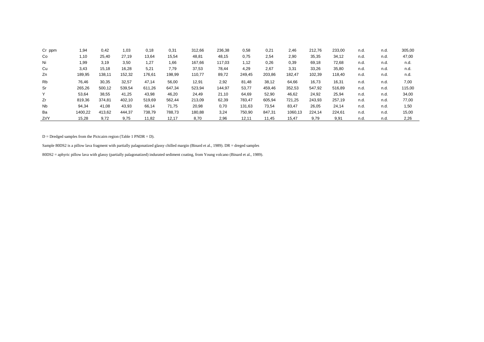| Cr ppm    | 1,94    | 0,42   | 1,03   | 0,18   | 0,31   | 312,66 | 236,38 | 0,58   | 0,21   | 2.46    | 212,76 | 233,00 | n.d. | n.d. | 305,00 |
|-----------|---------|--------|--------|--------|--------|--------|--------|--------|--------|---------|--------|--------|------|------|--------|
| Co        | 1,10    | 25,40  | 27,19  | 13,64  | 15,54  | 48,81  | 48,15  | 0,75   | 2,54   | 2,90    | 35,35  | 34,12  | n.d. | n.d. | 47,00  |
| Ni        | 1,99    | 3,19   | 3,50   | 1,27   | 1,66   | 167,66 | 117,03 | 1,12   | 0,26   | 0,39    | 69,18  | 72,68  | n.d. | n.d. | n.d.   |
| Cu        | 3,43    | 15,18  | 16,28  | 5,21   | 7,79   | 37,53  | 78,44  | 4,29   | 2,67   | 3,31    | 33,26  | 35,80  | n.d. | n.d. | n.d.   |
| Zn        | 189,95  | 138,11 | 152,32 | 176,61 | 198,99 | 110,77 | 89,72  | 249,45 | 203,86 | 182,47  | 102,39 | 118,40 | n.d. | n.d. | n.d.   |
| <b>Rb</b> | 76,46   | 30,35  | 32,57  | 47.14  | 56,00  | 12,91  | 2,92   | 81,48  | 38,12  | 64,66   | 16,73  | 16,31  | n.d. | n.d. | 7,00   |
| Sr        | 265,26  | 500,12 | 539,54 | 611,26 | 647,34 | 523,94 | 144,97 | 53,77  | 459,46 | 352,53  | 547,92 | 516,89 | n.d. | n d  | 115,00 |
|           | 53,64   | 38,55  | 41,25  | 43,98  | 46,20  | 24,49  | 21,10  | 64,69  | 52,90  | 46,62   | 24,92  | 25,94  | n.d. | n.d. | 34,00  |
| Zr        | 819,36  | 374,81 | 402,10 | 519,69 | 562.44 | 213,09 | 62,39  | 783,47 | 605,94 | 721,25  | 243,93 | 257,19 | n.d. | n d  | 77,00  |
| <b>Nb</b> | 94,34   | 41,08  | 43,93  | 66,14  | 71,75  | 20,98  | 0,70   | 131,63 | 73,54  | 83,47   | 26,05  | 24,14  | n.d. | n.d. | 1,50   |
| Ba        | 1400,22 | 413,62 | 444,37 | 738,79 | 788,73 | 180,88 | 3,24   | 750,90 | 847,31 | 1060,13 | 224,14 | 224,61 | n.d. | n.d. | 15,00  |
| Zr/Y      | 15,28   | 9,72   | 9,75   | 11,82  | 12.17  | 8,70   | 2,96   | 12,11  | 11,45  | 15,47   | 9.79   | 9,91   | n.d. | n.d. | 2,26   |

 $D = D$ redged samples from the Pictcairn region (Table 1 PNDR = D).

Sample 80DS2 is a pillow lava fragment with partially palagonatized glassy chilled margin (Binard et al., 1989). DR = dreged samples

80DS2 = aphyric pillow lava with glassy (partially palagonatized) indurated sediment coating, from Young volcano (Binard et al., 1989).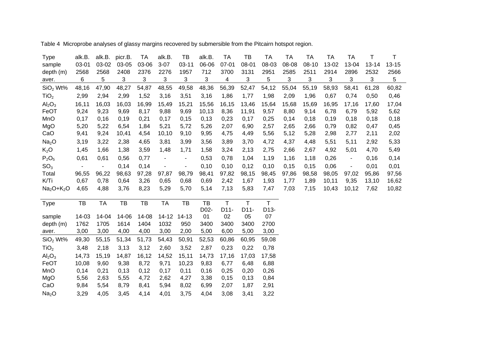Type alk.B. alk.B. picr.B. TA alk.B. TB alk.B. TA TB TA TA TA TA TA T T sample 03-01 03-02 03-05 03-06 3-07 03-11 06-06 07-01 08-01 08-03 08-08 08-10 13-02 13-04 13-14 13-15 depth (m) 2568 2568 2408 2376 2276 1957 712 3700 3131 2951 2585 2511 2914 2896 2532 2566 aver. 6 5 3 3 3 3 3 4 3 5 3 3 3 3 3 5 5 SiO2 Wt% 48,16 47,90 48,27 54,87 48,55 49,58 48,36 56,39 52,47 54,12 55,04 55,19 58,93 58,41 61,28 60,82 TiO2 2,99 2,94 2,99 1,52 3,16 3,51 3,16 1,86 1,77 1,98 2,09 1,96 0,67 0,74 0,50 0,46 Al<sub>2</sub>O<sub>3</sub> 16,11 16,03 16,03 16,99 15,49 15,21 15,56 16,15 13,46 15,64 15,68 15,69 16,95 17,16 17,60 17,04 FeOT 9,24 9,23 9,69 8,17 9,88 9,69 10,13 8,36 11,91 9,57 8,80 9,14 6,78 6,79 5,92 5,62 MnO 0,17 0,16 0,19 0,21 0,17 0,15 0,13 0,23 0,17 0,25 0,14 0,18 0,19 0,18 0,18 0,18 MgO 5,20 5,22 6,54 1,84 5,21 5,72 5,26 2,07 6,90 2,57 2,65 2,66 0,79 0,82 0,47 0,45 CaO 9,41 9,24 10,41 4,54 10,10 9,10 9,95 4,75 4,49 5,56 5,12 5,28 2,98 2,77 2,11 2,02 Na2O 3,19 3,22 2,38 4,65 3,81 3,99 3,56 3,89 3,70 4,72 4,37 4,48 5,51 5,11 2,92 5,33 K2O 1,45 1,66 1,38 3,59 1,48 1,71 1,58 3,24 2,13 2,75 2,66 2,67 4,92 5,01 4,70 5,49 P<sub>2</sub>O<sub>5</sub> 0,61 0,61 0,56 0,77 - - 0,53 0,78 1,04 1,19 1,16 1,18 0,26 - 0,16 0,14  ${\rm SO}_3$  - - 0,14 0,14 - - 0,10 0,10 0,12 0,10 0,15 0,15 0,06 - 0,01 0,01 Total 96,55 96,22 98,63 97,28 97,87 98,79 98,41 97,82 98,15 98,45 97,86 98,58 98,05 97,02 95,86 97,56 K/Ti 0,67 0,78 0,64 3,26 0,65 0,68 0,69 2,42 1,67 1,93 1,77 1,89 10,11 9,35 13,10 16,62 Na2O+K2O 4,65 4,88 3,76 8,23 5,29 5,70 5,14 7,13 5,83 7,47 7,03 7,15 10,43 10,12 7,62 10,82 Type TB TA TB TB TA TB TB T T T sample 14-03 14-04 14-06 14-08 14-12 14-13 D02-01 D11-02 D11-05 D13-07 depth (m) 1762 1705 1614 1404 1032 950 3400 3400 3400 2700 aver. 3,00 3,00 4,00 4,00 3,00 2,00 5,00 6,00 5,00 3,00 SiO2 Wt% 49,30 55,15 51,34 51,73 54,43 50,91 52,53 60,86 60,95 59,08 TiO2 3,48 2,18 3,13 3,12 2,60 3,52 2,87 0,23 0,22 0,78 Al<sub>2</sub>O<sub>3</sub> 14,73 15,19 14,87 16,12 14,52 15,11 14,73 17,16 17,03 17,58 FeOT 10,08 9,60 9,38 8,72 9,71 10,23 9,83 6,77 6,48 6,88

Table 4 Microprobe analyses of glassy margins recovered by submersible from the Pitcairn hotspot region.

MnO 0,14 0,21 0,13 0,12 0,17 0,11 0,16 0,25 0,20 0,26 MgO 5,56 2,63 5,55 4,72 2,62 4,27 3,38 0,15 0,13 0,84 CaO 9,84 5,54 8,79 8,41 5,94 8,02 6,99 2,07 1,87 2,91 Na2O 3,29 4,05 3,45 4,14 4,01 3,75 4,04 3,08 3,41 3,22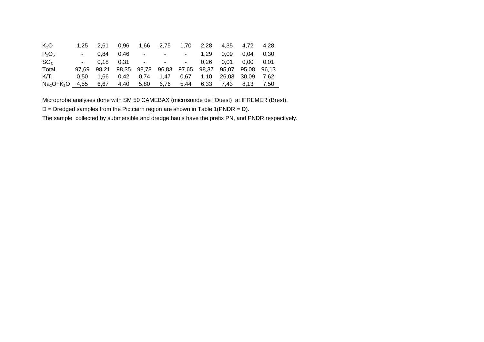| K <sub>2</sub> O | 1.25  | 2.61 | 0.96              | 1.66           | 2,75              | 1,70            | 2,28      | 4.35  | 4.72  | 4.28  |
|------------------|-------|------|-------------------|----------------|-------------------|-----------------|-----------|-------|-------|-------|
| $P_2O_5$         |       | 0.84 |                   |                | $0.46$ - -        | $\sim$ 10 $\pm$ | 1.29      | 0.09  | 0.04  | 0.30  |
| SO <sub>3</sub>  |       | 0.18 |                   |                |                   |                 | 0.26      | 0.01  | 0.00  | 0.01  |
| Total            | 97.69 |      | 98,21 98,35 98,78 |                | 96,83 97,65 98,37 |                 |           | 95,07 | 95.08 | 96.13 |
| K/Ti             | 0.50  | 1.66 | 0.42              | 0.74           | 1.47              | 0.67            | 1.10      | 26.03 | 30.09 | 7.62  |
| Na∍O+K∍O         | 4.55  | 6,67 |                   | 4,40 5,80 6,76 |                   | 5,44            | 6.33 7.43 |       | 8,13  | 7.50  |

Microprobe analyses done with SM 50 CAMEBAX (microsonde de l'Ouest) at IFREMER (Brest).

 $D = D$  redged samples from the Pictcairn region are shown in Table 1(PNDR = D).

The sample collected by submersible and dredge hauls have the prefix PN, and PNDR respectively.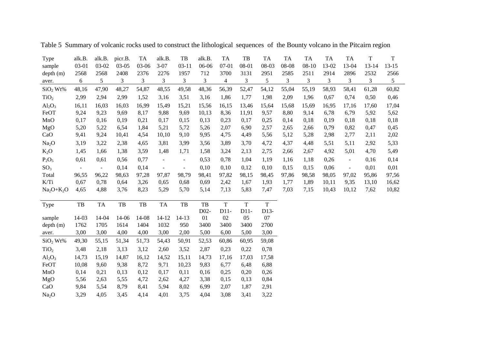| Type                 | alk.B.         | alk.B.    | picr.B. | TA             | alk.B.                   | TB                       | alk.B. | <b>TA</b>      | TB             | TA            | <b>TA</b> | TA        | TA    | TA             | $\mathbf T$    | $\mathbf T$ |  |
|----------------------|----------------|-----------|---------|----------------|--------------------------|--------------------------|--------|----------------|----------------|---------------|-----------|-----------|-------|----------------|----------------|-------------|--|
| sample               | 03-01          | 03-02     | $03-05$ | 03-06          | $3 - 07$                 | $03 - 11$                | 06-06  | $07 - 01$      | 08-01          | 08-03         | 08-08     | $08 - 10$ | 13-02 | 13-04          | $13 - 14$      | $13 - 15$   |  |
| depth (m)            | 2568           | 2568      | 2408    | 2376           | 2276                     | 1957                     | 712    | 3700           | 3131           | 2951          | 2585      | 2511      | 2914  | 2896           | 2532           | 2566        |  |
| aver.                | 6              | 5         | 3       | $\mathfrak{Z}$ | $\mathfrak{Z}$           | $\mathfrak{Z}$           | 3      | $\overline{4}$ | $\mathfrak{Z}$ | $\mathfrak s$ | 3         | 3         | 3     | $\mathfrak{Z}$ | $\mathfrak{Z}$ | 5           |  |
| SiO <sub>2</sub> Wt% | 48,16          | 47,90     | 48,27   | 54,87          | 48,55                    | 49,58                    | 48,36  | 56,39          | 52,47          | 54,12         | 55,04     | 55,19     | 58,93 | 58,41          | 61,28          | 60,82       |  |
| TiO <sub>2</sub>     | 2,99           | 2,94      | 2,99    | 1,52           | 3,16                     | 3,51                     | 3,16   | 1,86           | 1,77           | 1,98          | 2,09      | 1,96      | 0,67  | 0,74           | 0,50           | 0,46        |  |
| $Al_2O_3$            | 16,11          | 16,03     | 16,03   | 16,99          | 15,49                    | 15,21                    | 15,56  | 16,15          | 13,46          | 15,64         | 15,68     | 15,69     | 16,95 | 17,16          | 17,60          | 17,04       |  |
| FeOT                 | 9,24           | 9,23      | 9,69    | 8,17           | 9,88                     | 9,69                     | 10,13  | 8,36           | 11,91          | 9,57          | 8,80      | 9,14      | 6,78  | 6,79           | 5,92           | 5,62        |  |
| MnO                  | 0,17           | 0,16      | 0,19    | 0,21           | 0,17                     | 0,15                     | 0,13   | 0,23           | 0,17           | 0,25          | 0,14      | 0,18      | 0,19  | 0,18           | 0,18           | 0,18        |  |
| MgO                  | 5,20           | 5,22      | 6,54    | 1,84           | 5,21                     | 5,72                     | 5,26   | 2,07           | 6,90           | 2,57          | 2,65      | 2,66      | 0,79  | 0,82           | 0,47           | 0,45        |  |
| CaO                  | 9,41           | 9,24      | 10,41   | 4,54           | 10,10                    | 9,10                     | 9,95   | 4,75           | 4,49           | 5,56          | 5,12      | 5,28      | 2,98  | 2,77           | 2,11           | 2,02        |  |
| Na <sub>2</sub> O    | 3,19           | 3,22      | 2,38    | 4,65           | 3,81                     | 3,99                     | 3,56   | 3,89           | 3,70           | 4,72          | 4,37      | 4,48      | 5,51  | 5,11           | 2,92           | 5,33        |  |
| $K_2O$               | 1,45           | 1,66      | 1,38    | 3,59           | 1,48                     | 1,71                     | 1,58   | 3,24           | 2,13           | 2,75          | 2,66      | 2,67      | 4,92  | 5,01           | 4,70           | 5,49        |  |
| $P_2O_5$             | 0,61           | 0,61      | 0,56    | 0,77           | $\overline{\phantom{a}}$ | $\overline{\phantom{a}}$ | 0,53   | 0,78           | 1,04           | 1,19          | 1,16      | 1,18      | 0,26  | $\blacksquare$ | 0,16           | 0,14        |  |
| SO <sub>3</sub>      | $\blacksquare$ | $\sim$    | 0,14    | 0,14           | $\blacksquare$           | $\blacksquare$           | 0,10   | 0,10           | 0,12           | 0,10          | 0,15      | 0,15      | 0,06  | $\omega$       | 0,01           | 0,01        |  |
| Total                | 96,55          | 96,22     | 98,63   | 97,28          | 97,87                    | 98,79                    | 98,41  | 97,82          | 98,15          | 98,45         | 97,86     | 98,58     | 98,05 | 97,02          | 95,86          | 97,56       |  |
| K/Ti                 | 0,67           | 0,78      | 0,64    | 3,26           | 0,65                     | 0,68                     | 0,69   | 2,42           | 1,67           | 1,93          | 1,77      | 1,89      | 10,11 | 9,35           | 13,10          | 16,62       |  |
| $Na2O+K2O$           | 4,65           | 4,88      | 3,76    | 8,23           | 5,29                     | 5,70                     | 5,14   | 7,13           | 5,83           | 7,47          | 7,03      | 7,15      | 10,43 | 10,12          | 7,62           | 10,82       |  |
|                      |                |           |         |                |                          |                          |        |                |                |               |           |           |       |                |                |             |  |
| Type                 | TB             | <b>TA</b> | TB      | TB             | TA                       | TB                       | TB     | $\mathbf T$    | $\mathbf T$    | $\mathbf T$   |           |           |       |                |                |             |  |
|                      |                |           |         |                |                          |                          | D02-   | $D11-$         | $D11-$         | D13-          |           |           |       |                |                |             |  |
| sample               | 14-03          | 14-04     | 14-06   | 14-08          | $14 - 12$                | $14 - 13$                | 01     | 02             | 05             | 07            |           |           |       |                |                |             |  |
| depth(m)             | 1762           | 1705      | 1614    | 1404           | 1032                     | 950                      | 3400   | 3400           | 3400           | 2700          |           |           |       |                |                |             |  |
| aver.                | 3,00           | 3,00      | 4,00    | 4,00           | 3,00                     | 2,00                     | 5,00   | 6,00           | 5,00           | 3,00          |           |           |       |                |                |             |  |
| SiO <sub>2</sub> Wt% | 49,30          | 55,15     | 51,34   | 51,73          | 54,43                    | 50,91                    | 52,53  | 60,86          | 60,95          | 59,08         |           |           |       |                |                |             |  |
| TiO <sub>2</sub>     | 3,48           | 2,18      | 3,13    | 3,12           | 2,60                     | 3,52                     | 2,87   | 0,23           | 0,22           | 0,78          |           |           |       |                |                |             |  |
| $Al_2O_3$            | 14,73          | 15,19     | 14,87   | 16,12          | 14,52                    | 15,11                    | 14,73  | 17,16          | 17,03          | 17,58         |           |           |       |                |                |             |  |
| FeOT                 | 10,08          | 9,60      | 9,38    | 8,72           | 9,71                     | 10,23                    | 9,83   | 6,77           | 6,48           | 6,88          |           |           |       |                |                |             |  |
| MnO                  | 0,14           | 0,21      | 0,13    | 0,12           | 0,17                     | 0,11                     | 0,16   | 0,25           | 0,20           | 0,26          |           |           |       |                |                |             |  |
| MgO                  | 5,56           | 2,63      | 5,55    | 4,72           | 2,62                     | 4,27                     | 3,38   | 0,15           | 0,13           | 0,84          |           |           |       |                |                |             |  |
| CaO                  | 9,84           | 5,54      | 8,79    | 8,41           | 5,94                     | 8,02                     | 6,99   | 2,07           | 1,87           | 2,91          |           |           |       |                |                |             |  |
| Na <sub>2</sub> O    | 3,29           | 4,05      | 3,45    | 4,14           | 4,01                     | 3,75                     | 4,04   | 3,08           | 3,41           | 3,22          |           |           |       |                |                |             |  |

Table 5 Summary of volcanic rocks used to construct the lithological sequences of the Bounty volcano in the Pitcairn region